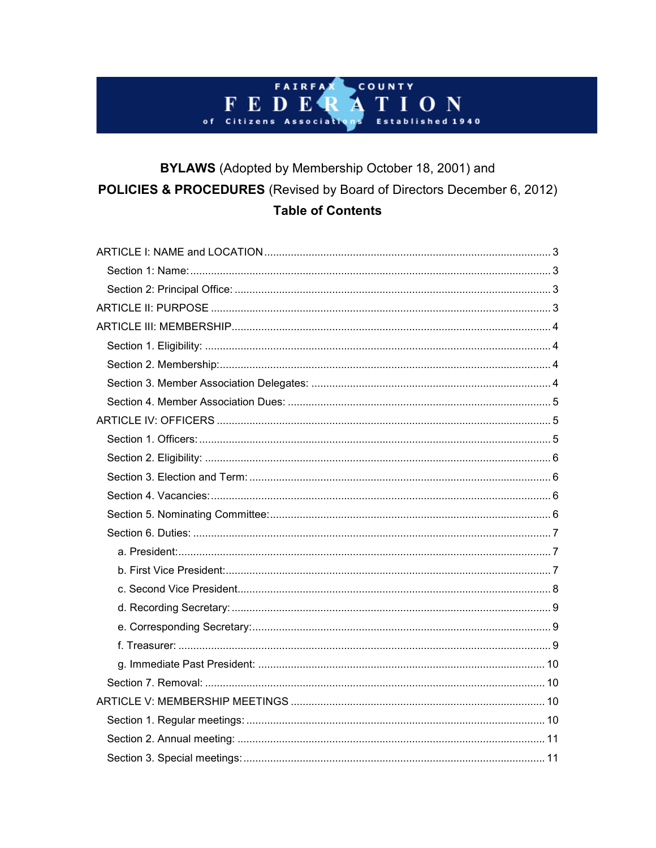#### COUNTY FAIRFA FEDER ON Α Τ T  $d$  1940 of Citizens sociati E s

## BYLAWS (Adopted by Membership October 18, 2001) and POLICIES & PROCEDURES (Revised by Board of Directors December 6, 2012) **Table of Contents**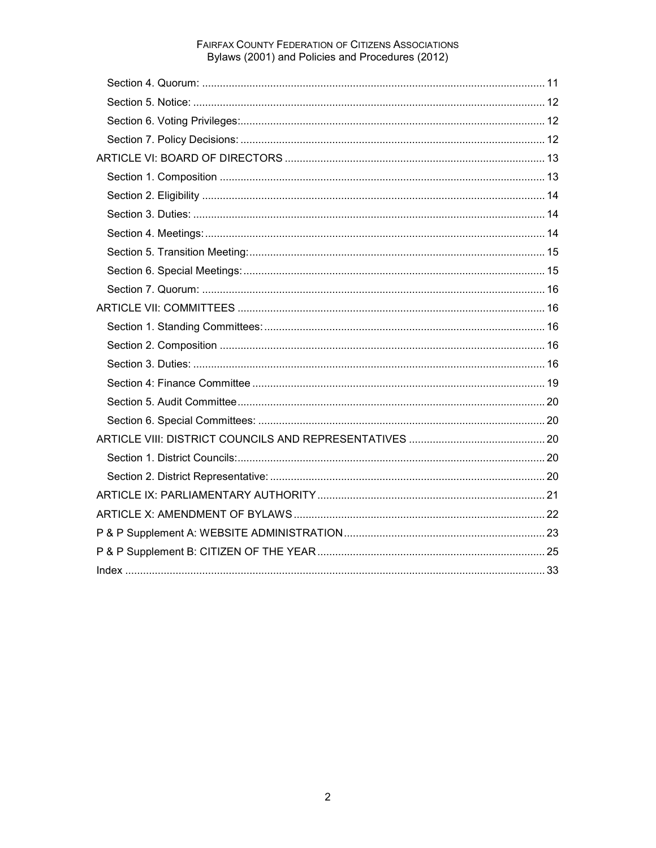# FAIRFAX COUNTY FEDERATION OF CITIZENS ASSOCIATIONS<br>Bylaws (2001) and Policies and Procedures (2012)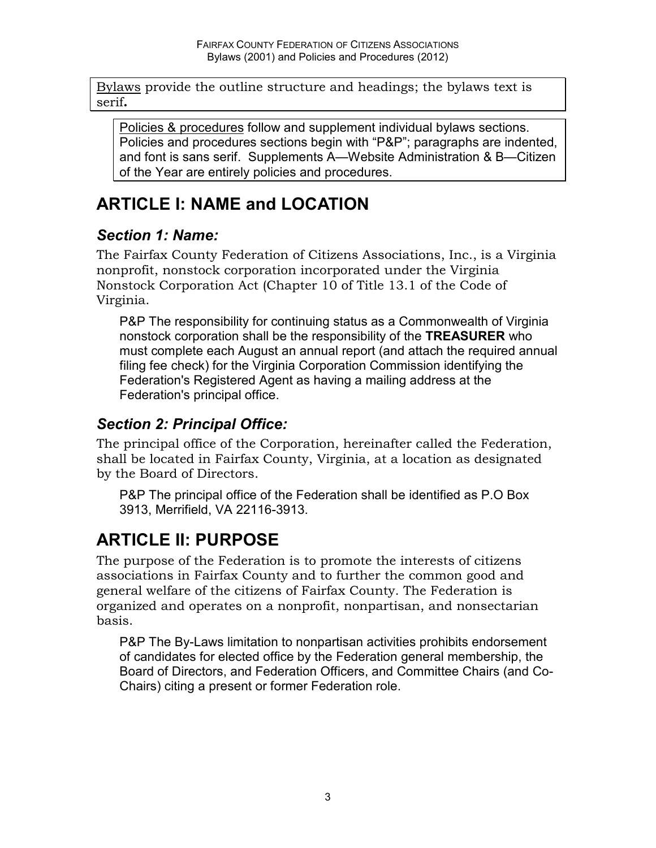Bylaws provide the outline structure and headings; the bylaws text is serif**.** 

Policies & procedures follow and supplement individual bylaws sections. Policies and procedures sections begin with "P&P"; paragraphs are indented, and font is sans serif. Supplements A—Website Administration & B—Citizen of the Year are entirely policies and procedures.

# **ARTICLE I: NAME and LOCATION**

#### *Section 1: Name:*

The Fairfax County Federation of Citizens Associations, Inc., is a Virginia nonprofit, nonstock corporation incorporated under the Virginia Nonstock Corporation Act (Chapter 10 of Title 13.1 of the Code of Virginia.

P&P The responsibility for continuing status as a Commonwealth of Virginia nonstock corporation shall be the responsibility of the **TREASURER** who must complete each August an annual report (and attach the required annual filing fee check) for the Virginia Corporation Commission identifying the Federation's Registered Agent as having a mailing address at the Federation's principal office.

### *Section 2: Principal Office:*

The principal office of the Corporation, hereinafter called the Federation, shall be located in Fairfax County, Virginia, at a location as designated by the Board of Directors.

P&P The principal office of the Federation shall be identified as P.O Box 3913, Merrifield, VA 22116-3913.

# **ARTICLE II: PURPOSE**

The purpose of the Federation is to promote the interests of citizens associations in Fairfax County and to further the common good and general welfare of the citizens of Fairfax County. The Federation is organized and operates on a nonprofit, nonpartisan, and nonsectarian basis.

P&P The By-Laws limitation to nonpartisan activities prohibits endorsement of candidates for elected office by the Federation general membership, the Board of Directors, and Federation Officers, and Committee Chairs (and Co-Chairs) citing a present or former Federation role.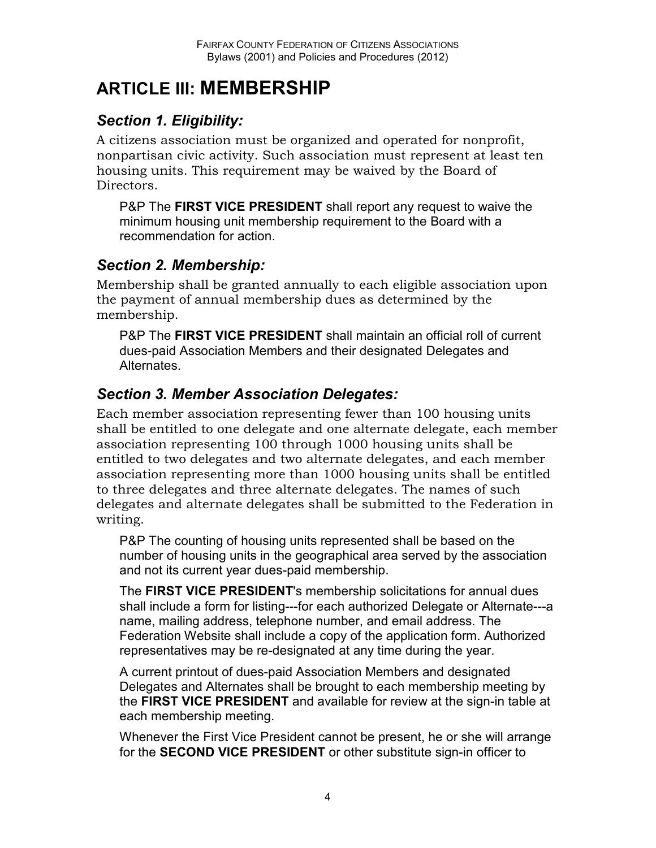# **ARTICLE III: MEMBERSHIP**

### *Section 1. Eligibility:*

A citizens association must be organized and operated for nonprofit, nonpartisan civic activity. Such association must represent at least ten housing units. This requirement may be waived by the Board of Directors.

P&P The **FIRST VICE PRESIDENT** shall report any request to waive the minimum housing unit membership requirement to the Board with a recommendation for action.

#### *Section 2. Membership:*

Membership shall be granted annually to each eligible association upon the payment of annual membership dues as determined by the membership.

P&P The **FIRST VICE PRESIDENT** shall maintain an official roll of current dues-paid Association Members and their designated Delegates and Alternates.

#### *Section 3. Member Association Delegates:*

Each member association representing fewer than 100 housing units shall be entitled to one delegate and one alternate delegate, each member association representing 100 through 1000 housing units shall be entitled to two delegates and two alternate delegates, and each member association representing more than 1000 housing units shall be entitled to three delegates and three alternate delegates. The names of such delegates and alternate delegates shall be submitted to the Federation in writing.

P&P The counting of housing units represented shall be based on the number of housing units in the geographical area served by the association and not its current year dues-paid membership.

The **FIRST VICE PRESIDENT**'s membership solicitations for annual dues shall include a form for listing---for each authorized Delegate or Alternate---a name, mailing address, telephone number, and email address. The Federation Website shall include a copy of the application form. Authorized representatives may be re-designated at any time during the year.

A current printout of dues-paid Association Members and designated Delegates and Alternates shall be brought to each membership meeting by the **FIRST VICE PRESIDENT** and available for review at the sign-in table at each membership meeting.

Whenever the First Vice President cannot be present, he or she will arrange for the **SECOND VICE PRESIDENT** or other substitute sign-in officer to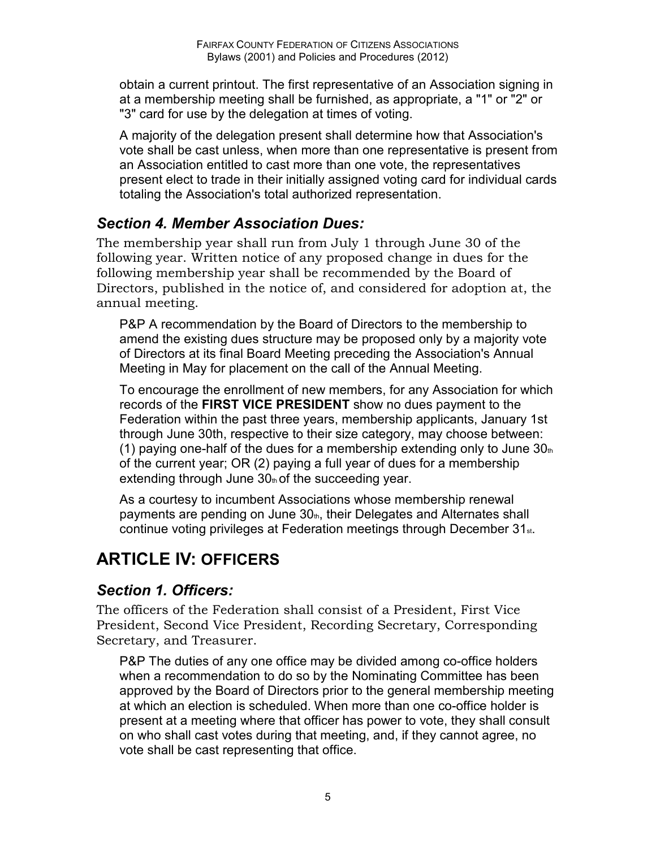obtain a current printout. The first representative of an Association signing in at a membership meeting shall be furnished, as appropriate, a "1" or "2" or "3" card for use by the delegation at times of voting.

A majority of the delegation present shall determine how that Association's vote shall be cast unless, when more than one representative is present from an Association entitled to cast more than one vote, the representatives present elect to trade in their initially assigned voting card for individual cards totaling the Association's total authorized representation.

### *Section 4. Member Association Dues:*

The membership year shall run from July 1 through June 30 of the following year. Written notice of any proposed change in dues for the following membership year shall be recommended by the Board of Directors, published in the notice of, and considered for adoption at, the annual meeting.

P&P A recommendation by the Board of Directors to the membership to amend the existing dues structure may be proposed only by a majority vote of Directors at its final Board Meeting preceding the Association's Annual Meeting in May for placement on the call of the Annual Meeting.

To encourage the enrollment of new members, for any Association for which records of the **FIRST VICE PRESIDENT** show no dues payment to the Federation within the past three years, membership applicants, January 1st through June 30th, respective to their size category, may choose between: (1) paying one-half of the dues for a membership extending only to June  $30<sub>th</sub>$ of the current year; OR (2) paying a full year of dues for a membership extending through June  $30<sub>th</sub>$  of the succeeding year.

As a courtesy to incumbent Associations whose membership renewal payments are pending on June  $30<sub>th</sub>$ , their Delegates and Alternates shall continue voting privileges at Federation meetings through December 31st.

# **ARTICLE IV: OFFICERS**

### *Section 1. Officers:*

The officers of the Federation shall consist of a President, First Vice President, Second Vice President, Recording Secretary, Corresponding Secretary, and Treasurer.

P&P The duties of any one office may be divided among co-office holders when a recommendation to do so by the Nominating Committee has been approved by the Board of Directors prior to the general membership meeting at which an election is scheduled. When more than one co-office holder is present at a meeting where that officer has power to vote, they shall consult on who shall cast votes during that meeting, and, if they cannot agree, no vote shall be cast representing that office.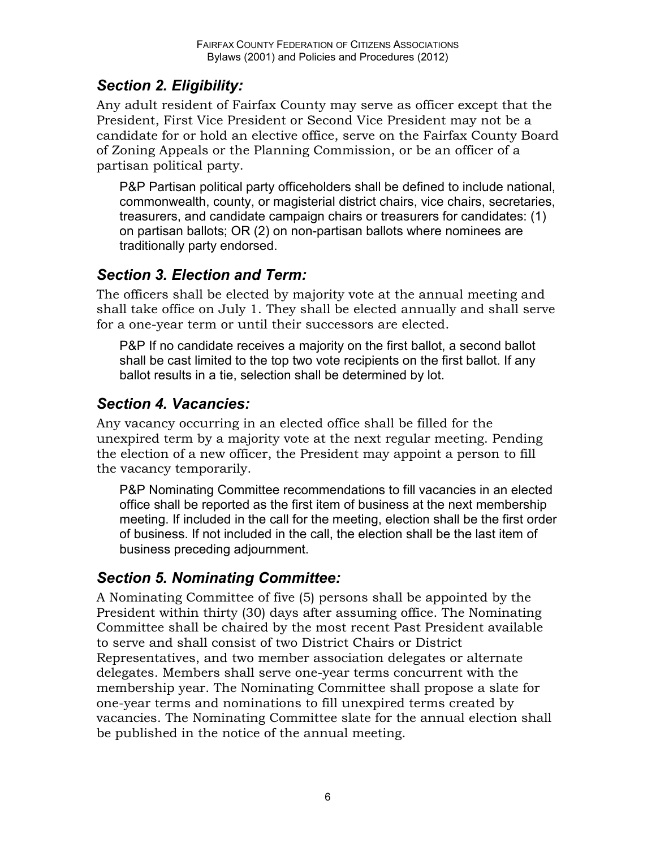### *Section 2. Eligibility:*

Any adult resident of Fairfax County may serve as officer except that the President, First Vice President or Second Vice President may not be a candidate for or hold an elective office, serve on the Fairfax County Board of Zoning Appeals or the Planning Commission, or be an officer of a partisan political party.

P&P Partisan political party officeholders shall be defined to include national, commonwealth, county, or magisterial district chairs, vice chairs, secretaries, treasurers, and candidate campaign chairs or treasurers for candidates: (1) on partisan ballots; OR (2) on non-partisan ballots where nominees are traditionally party endorsed.

### *Section 3. Election and Term:*

The officers shall be elected by majority vote at the annual meeting and shall take office on July 1. They shall be elected annually and shall serve for a one-year term or until their successors are elected.

P&P If no candidate receives a majority on the first ballot, a second ballot shall be cast limited to the top two vote recipients on the first ballot. If any ballot results in a tie, selection shall be determined by lot.

### *Section 4. Vacancies:*

Any vacancy occurring in an elected office shall be filled for the unexpired term by a majority vote at the next regular meeting. Pending the election of a new officer, the President may appoint a person to fill the vacancy temporarily.

P&P Nominating Committee recommendations to fill vacancies in an elected office shall be reported as the first item of business at the next membership meeting. If included in the call for the meeting, election shall be the first order of business. If not included in the call, the election shall be the last item of business preceding adjournment.

### *Section 5. Nominating Committee:*

A Nominating Committee of five (5) persons shall be appointed by the President within thirty (30) days after assuming office. The Nominating Committee shall be chaired by the most recent Past President available to serve and shall consist of two District Chairs or District Representatives, and two member association delegates or alternate delegates. Members shall serve one-year terms concurrent with the membership year. The Nominating Committee shall propose a slate for one-year terms and nominations to fill unexpired terms created by vacancies. The Nominating Committee slate for the annual election shall be published in the notice of the annual meeting.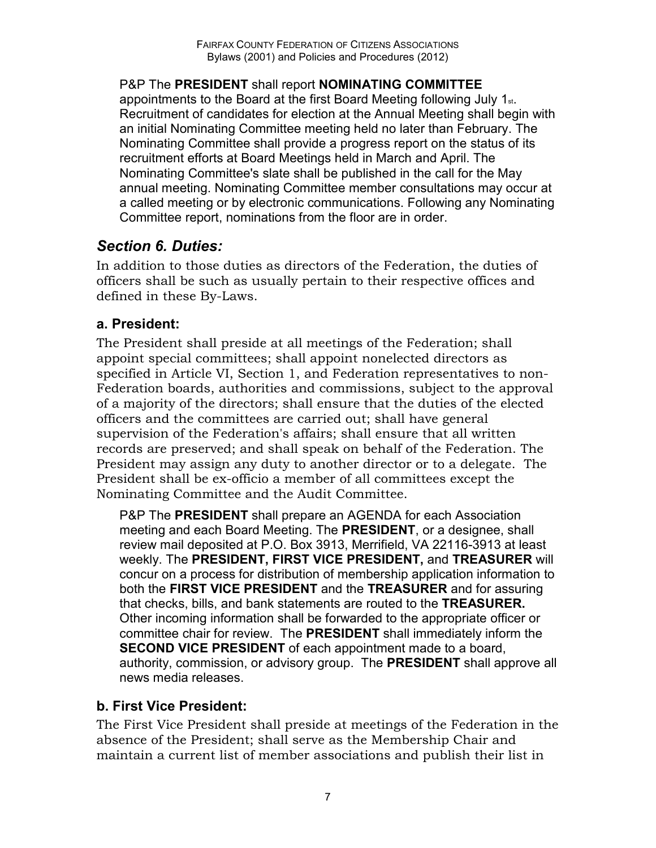P&P The **PRESIDENT** shall report **NOMINATING COMMITTEE**  appointments to the Board at the first Board Meeting following July 1st. Recruitment of candidates for election at the Annual Meeting shall begin with an initial Nominating Committee meeting held no later than February. The Nominating Committee shall provide a progress report on the status of its recruitment efforts at Board Meetings held in March and April. The Nominating Committee's slate shall be published in the call for the May annual meeting. Nominating Committee member consultations may occur at a called meeting or by electronic communications. Following any Nominating Committee report, nominations from the floor are in order.

### *Section 6. Duties:*

In addition to those duties as directors of the Federation, the duties of officers shall be such as usually pertain to their respective offices and defined in these By-Laws.

#### **a. President:**

The President shall preside at all meetings of the Federation; shall appoint special committees; shall appoint nonelected directors as specified in Article VI, Section 1, and Federation representatives to non-Federation boards, authorities and commissions, subject to the approval of a majority of the directors; shall ensure that the duties of the elected officers and the committees are carried out; shall have general supervision of the Federation's affairs; shall ensure that all written records are preserved; and shall speak on behalf of the Federation. The President may assign any duty to another director or to a delegate. The President shall be ex-officio a member of all committees except the Nominating Committee and the Audit Committee.

P&P The **PRESIDENT** shall prepare an AGENDA for each Association meeting and each Board Meeting. The **PRESIDENT**, or a designee, shall review mail deposited at P.O. Box 3913, Merrifield, VA 22116-3913 at least weekly. The **PRESIDENT, FIRST VICE PRESIDENT,** and **TREASURER** will concur on a process for distribution of membership application information to both the **FIRST VICE PRESIDENT** and the **TREASURER** and for assuring that checks, bills, and bank statements are routed to the **TREASURER.**  Other incoming information shall be forwarded to the appropriate officer or committee chair for review. The **PRESIDENT** shall immediately inform the **SECOND VICE PRESIDENT** of each appointment made to a board, authority, commission, or advisory group. The **PRESIDENT** shall approve all news media releases.

#### **b. First Vice President:**

The First Vice President shall preside at meetings of the Federation in the absence of the President; shall serve as the Membership Chair and maintain a current list of member associations and publish their list in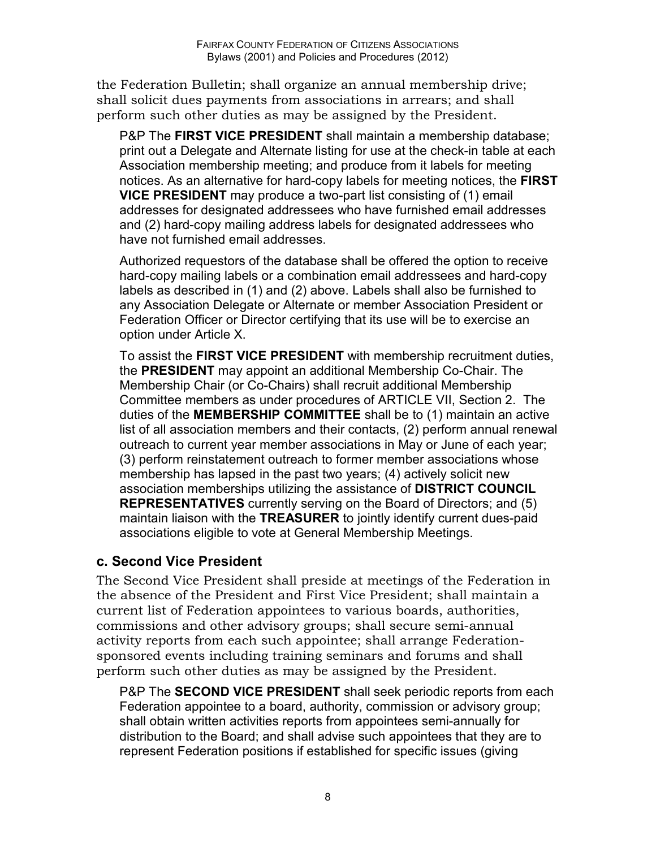the Federation Bulletin; shall organize an annual membership drive; shall solicit dues payments from associations in arrears; and shall perform such other duties as may be assigned by the President.

P&P The **FIRST VICE PRESIDENT** shall maintain a membership database; print out a Delegate and Alternate listing for use at the check-in table at each Association membership meeting; and produce from it labels for meeting notices. As an alternative for hard-copy labels for meeting notices, the **FIRST VICE PRESIDENT** may produce a two-part list consisting of (1) email addresses for designated addressees who have furnished email addresses and (2) hard-copy mailing address labels for designated addressees who have not furnished email addresses.

Authorized requestors of the database shall be offered the option to receive hard-copy mailing labels or a combination email addressees and hard-copy labels as described in (1) and (2) above. Labels shall also be furnished to any Association Delegate or Alternate or member Association President or Federation Officer or Director certifying that its use will be to exercise an option under Article X.

To assist the **FIRST VICE PRESIDENT** with membership recruitment duties, the **PRESIDENT** may appoint an additional Membership Co-Chair. The Membership Chair (or Co-Chairs) shall recruit additional Membership Committee members as under procedures of ARTICLE VII, Section 2. The duties of the **MEMBERSHIP COMMITTEE** shall be to (1) maintain an active list of all association members and their contacts, (2) perform annual renewal outreach to current year member associations in May or June of each year; (3) perform reinstatement outreach to former member associations whose membership has lapsed in the past two years; (4) actively solicit new association memberships utilizing the assistance of **DISTRICT COUNCIL REPRESENTATIVES** currently serving on the Board of Directors; and (5) maintain liaison with the **TREASURER** to jointly identify current dues-paid associations eligible to vote at General Membership Meetings.

#### **c. Second Vice President**

The Second Vice President shall preside at meetings of the Federation in the absence of the President and First Vice President; shall maintain a current list of Federation appointees to various boards, authorities, commissions and other advisory groups; shall secure semi-annual activity reports from each such appointee; shall arrange Federationsponsored events including training seminars and forums and shall perform such other duties as may be assigned by the President.

P&P The **SECOND VICE PRESIDENT** shall seek periodic reports from each Federation appointee to a board, authority, commission or advisory group; shall obtain written activities reports from appointees semi-annually for distribution to the Board; and shall advise such appointees that they are to represent Federation positions if established for specific issues (giving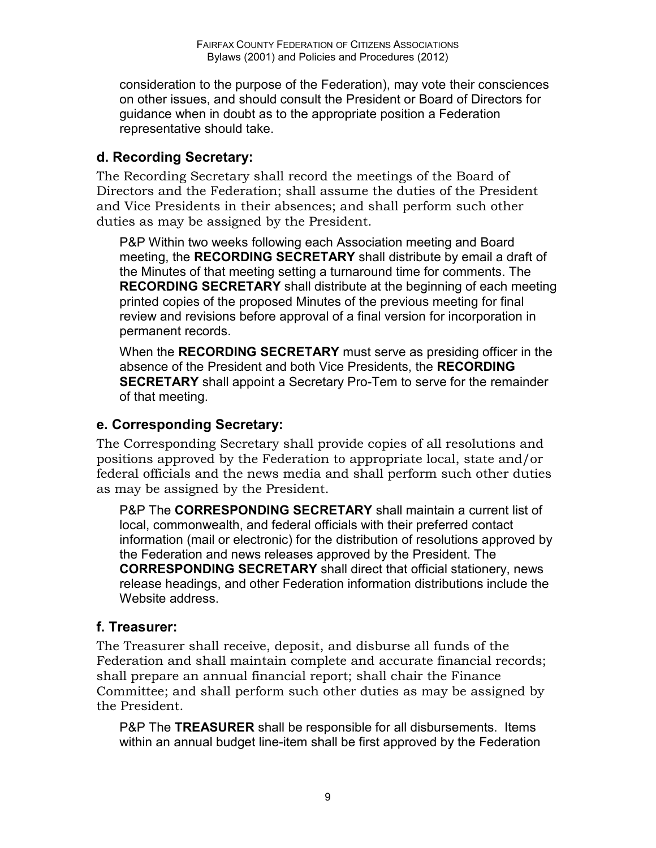consideration to the purpose of the Federation), may vote their consciences on other issues, and should consult the President or Board of Directors for guidance when in doubt as to the appropriate position a Federation representative should take.

#### **d. Recording Secretary:**

The Recording Secretary shall record the meetings of the Board of Directors and the Federation; shall assume the duties of the President and Vice Presidents in their absences; and shall perform such other duties as may be assigned by the President.

P&P Within two weeks following each Association meeting and Board meeting, the **RECORDING SECRETARY** shall distribute by email a draft of the Minutes of that meeting setting a turnaround time for comments. The **RECORDING SECRETARY** shall distribute at the beginning of each meeting printed copies of the proposed Minutes of the previous meeting for final review and revisions before approval of a final version for incorporation in permanent records.

When the **RECORDING SECRETARY** must serve as presiding officer in the absence of the President and both Vice Presidents, the **RECORDING SECRETARY** shall appoint a Secretary Pro-Tem to serve for the remainder of that meeting.

#### **e. Corresponding Secretary:**

The Corresponding Secretary shall provide copies of all resolutions and positions approved by the Federation to appropriate local, state and/or federal officials and the news media and shall perform such other duties as may be assigned by the President.

P&P The **CORRESPONDING SECRETARY** shall maintain a current list of local, commonwealth, and federal officials with their preferred contact information (mail or electronic) for the distribution of resolutions approved by the Federation and news releases approved by the President. The **CORRESPONDING SECRETARY** shall direct that official stationery, news release headings, and other Federation information distributions include the Website address.

#### **f. Treasurer:**

The Treasurer shall receive, deposit, and disburse all funds of the Federation and shall maintain complete and accurate financial records; shall prepare an annual financial report; shall chair the Finance Committee; and shall perform such other duties as may be assigned by the President.

P&P The **TREASURER** shall be responsible for all disbursements. Items within an annual budget line-item shall be first approved by the Federation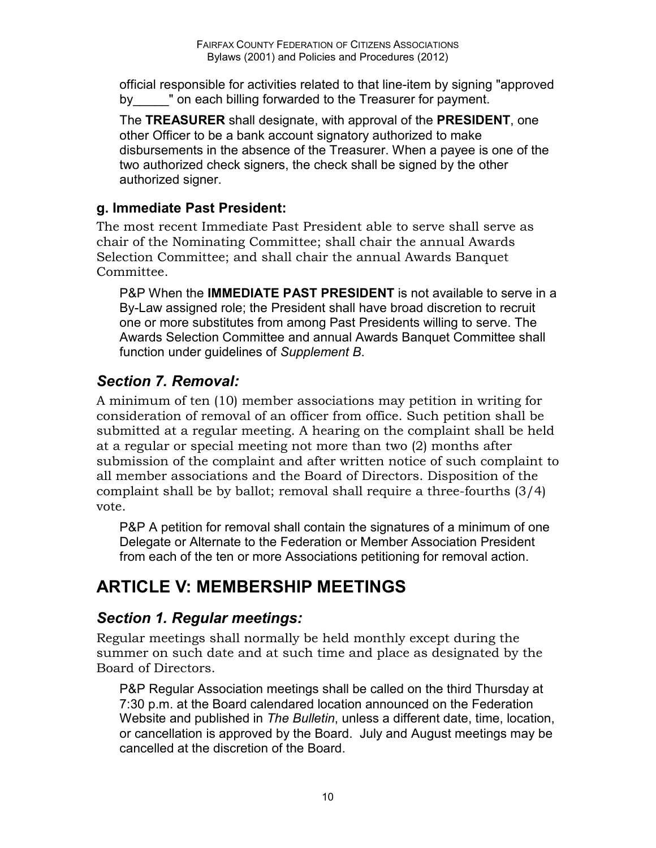official responsible for activities related to that line-item by signing "approved by by by bon each billing forwarded to the Treasurer for payment.

The **TREASURER** shall designate, with approval of the **PRESIDENT**, one other Officer to be a bank account signatory authorized to make disbursements in the absence of the Treasurer. When a payee is one of the two authorized check signers, the check shall be signed by the other authorized signer.

#### **g. Immediate Past President:**

The most recent Immediate Past President able to serve shall serve as chair of the Nominating Committee; shall chair the annual Awards Selection Committee; and shall chair the annual Awards Banquet Committee.

P&P When the **IMMEDIATE PAST PRESIDENT** is not available to serve in a By-Law assigned role; the President shall have broad discretion to recruit one or more substitutes from among Past Presidents willing to serve. The Awards Selection Committee and annual Awards Banquet Committee shall function under guidelines of *Supplement B*.

### *Section 7. Removal:*

A minimum of ten (10) member associations may petition in writing for consideration of removal of an officer from office. Such petition shall be submitted at a regular meeting. A hearing on the complaint shall be held at a regular or special meeting not more than two (2) months after submission of the complaint and after written notice of such complaint to all member associations and the Board of Directors. Disposition of the complaint shall be by ballot; removal shall require a three-fourths (3/4) vote.

P&P A petition for removal shall contain the signatures of a minimum of one Delegate or Alternate to the Federation or Member Association President from each of the ten or more Associations petitioning for removal action.

# **ARTICLE V: MEMBERSHIP MEETINGS**

### *Section 1. Regular meetings:*

Regular meetings shall normally be held monthly except during the summer on such date and at such time and place as designated by the Board of Directors.

P&P Regular Association meetings shall be called on the third Thursday at 7:30 p.m. at the Board calendared location announced on the Federation Website and published in *The Bulletin*, unless a different date, time, location, or cancellation is approved by the Board. July and August meetings may be cancelled at the discretion of the Board.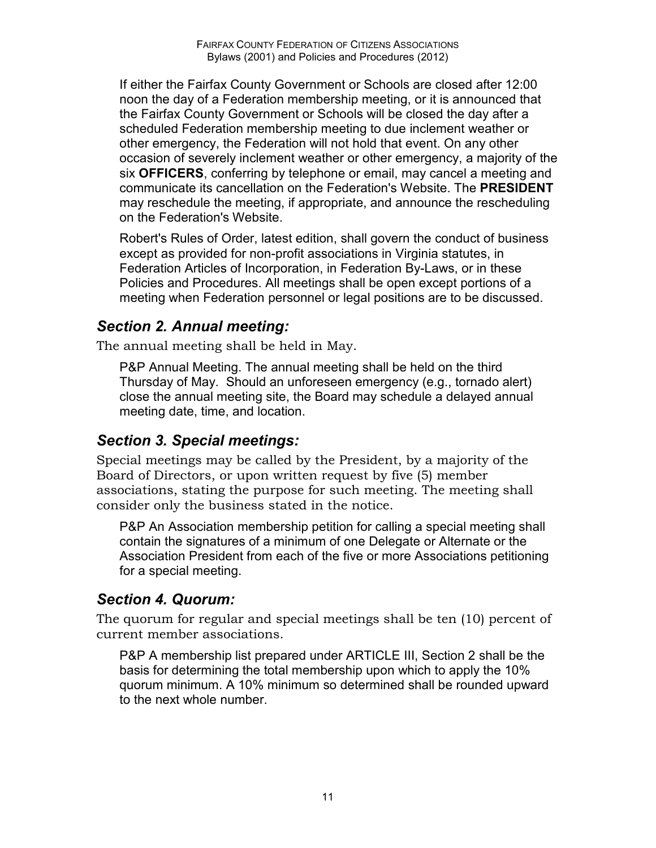If either the Fairfax County Government or Schools are closed after 12:00 noon the day of a Federation membership meeting, or it is announced that the Fairfax County Government or Schools will be closed the day after a scheduled Federation membership meeting to due inclement weather or other emergency, the Federation will not hold that event. On any other occasion of severely inclement weather or other emergency, a majority of the six **OFFICERS**, conferring by telephone or email, may cancel a meeting and communicate its cancellation on the Federation's Website. The **PRESIDENT**  may reschedule the meeting, if appropriate, and announce the rescheduling on the Federation's Website.

Robert's Rules of Order, latest edition, shall govern the conduct of business except as provided for non-profit associations in Virginia statutes, in Federation Articles of Incorporation, in Federation By-Laws, or in these Policies and Procedures. All meetings shall be open except portions of a meeting when Federation personnel or legal positions are to be discussed.

#### *Section 2. Annual meeting:*

The annual meeting shall be held in May.

P&P Annual Meeting. The annual meeting shall be held on the third Thursday of May. Should an unforeseen emergency (e.g., tornado alert) close the annual meeting site, the Board may schedule a delayed annual meeting date, time, and location.

#### *Section 3. Special meetings:*

Special meetings may be called by the President, by a majority of the Board of Directors, or upon written request by five (5) member associations, stating the purpose for such meeting. The meeting shall consider only the business stated in the notice.

P&P An Association membership petition for calling a special meeting shall contain the signatures of a minimum of one Delegate or Alternate or the Association President from each of the five or more Associations petitioning for a special meeting.

#### *Section 4. Quorum:*

The quorum for regular and special meetings shall be ten (10) percent of current member associations.

P&P A membership list prepared under ARTICLE III, Section 2 shall be the basis for determining the total membership upon which to apply the 10% quorum minimum. A 10% minimum so determined shall be rounded upward to the next whole number.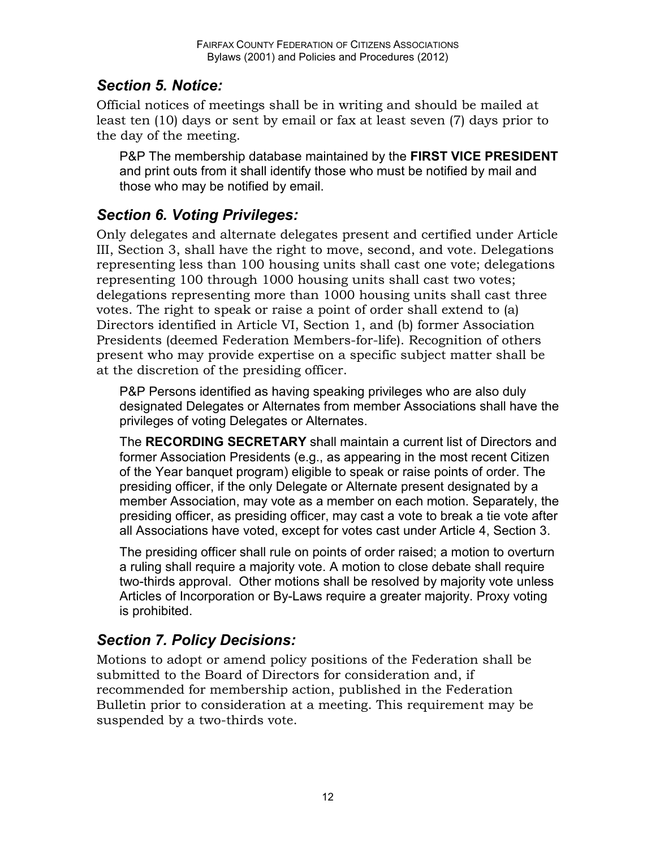### *Section 5. Notice:*

Official notices of meetings shall be in writing and should be mailed at least ten (10) days or sent by email or fax at least seven (7) days prior to the day of the meeting.

P&P The membership database maintained by the **FIRST VICE PRESIDENT**  and print outs from it shall identify those who must be notified by mail and those who may be notified by email.

### *Section 6. Voting Privileges:*

Only delegates and alternate delegates present and certified under Article III, Section 3, shall have the right to move, second, and vote. Delegations representing less than 100 housing units shall cast one vote; delegations representing 100 through 1000 housing units shall cast two votes; delegations representing more than 1000 housing units shall cast three votes. The right to speak or raise a point of order shall extend to (a) Directors identified in Article VI, Section 1, and (b) former Association Presidents (deemed Federation Members-for-life). Recognition of others present who may provide expertise on a specific subject matter shall be at the discretion of the presiding officer.

P&P Persons identified as having speaking privileges who are also duly designated Delegates or Alternates from member Associations shall have the privileges of voting Delegates or Alternates.

The **RECORDING SECRETARY** shall maintain a current list of Directors and former Association Presidents (e.g., as appearing in the most recent Citizen of the Year banquet program) eligible to speak or raise points of order. The presiding officer, if the only Delegate or Alternate present designated by a member Association, may vote as a member on each motion. Separately, the presiding officer, as presiding officer, may cast a vote to break a tie vote after all Associations have voted, except for votes cast under Article 4, Section 3.

The presiding officer shall rule on points of order raised; a motion to overturn a ruling shall require a majority vote. A motion to close debate shall require two-thirds approval. Other motions shall be resolved by majority vote unless Articles of Incorporation or By-Laws require a greater majority. Proxy voting is prohibited.

### *Section 7. Policy Decisions:*

Motions to adopt or amend policy positions of the Federation shall be submitted to the Board of Directors for consideration and, if recommended for membership action, published in the Federation Bulletin prior to consideration at a meeting. This requirement may be suspended by a two-thirds vote.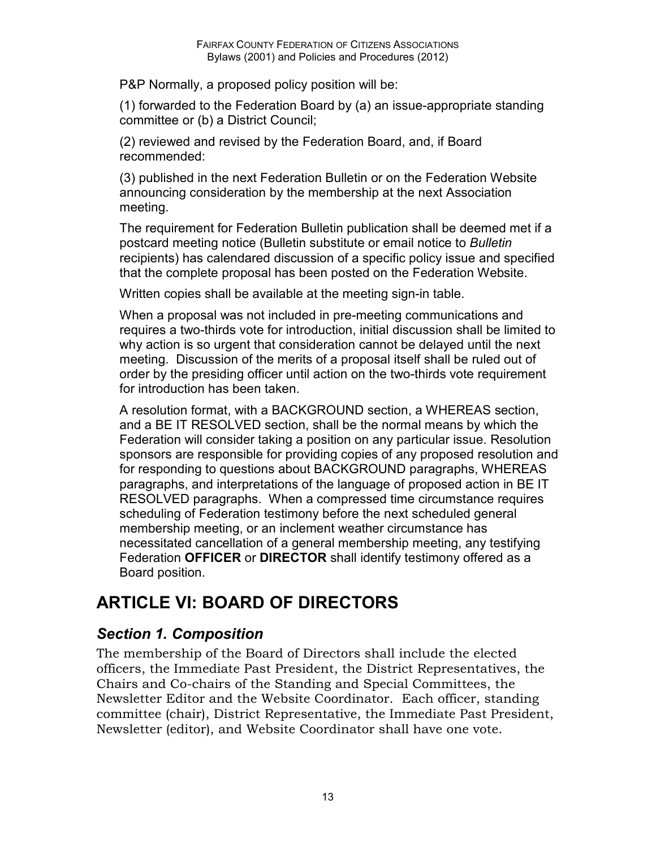P&P Normally, a proposed policy position will be:

(1) forwarded to the Federation Board by (a) an issue-appropriate standing committee or (b) a District Council;

(2) reviewed and revised by the Federation Board, and, if Board recommended:

(3) published in the next Federation Bulletin or on the Federation Website announcing consideration by the membership at the next Association meeting.

The requirement for Federation Bulletin publication shall be deemed met if a postcard meeting notice (Bulletin substitute or email notice to *Bulletin* recipients) has calendared discussion of a specific policy issue and specified that the complete proposal has been posted on the Federation Website.

Written copies shall be available at the meeting sign-in table.

When a proposal was not included in pre-meeting communications and requires a two-thirds vote for introduction, initial discussion shall be limited to why action is so urgent that consideration cannot be delayed until the next meeting. Discussion of the merits of a proposal itself shall be ruled out of order by the presiding officer until action on the two-thirds vote requirement for introduction has been taken.

A resolution format, with a BACKGROUND section, a WHEREAS section, and a BE IT RESOLVED section, shall be the normal means by which the Federation will consider taking a position on any particular issue. Resolution sponsors are responsible for providing copies of any proposed resolution and for responding to questions about BACKGROUND paragraphs, WHEREAS paragraphs, and interpretations of the language of proposed action in BE IT RESOLVED paragraphs. When a compressed time circumstance requires scheduling of Federation testimony before the next scheduled general membership meeting, or an inclement weather circumstance has necessitated cancellation of a general membership meeting, any testifying Federation **OFFICER** or **DIRECTOR** shall identify testimony offered as a Board position.

# **ARTICLE VI: BOARD OF DIRECTORS**

### *Section 1. Composition*

The membership of the Board of Directors shall include the elected officers, the Immediate Past President, the District Representatives, the Chairs and Co-chairs of the Standing and Special Committees, the Newsletter Editor and the Website Coordinator. Each officer, standing committee (chair), District Representative, the Immediate Past President, Newsletter (editor), and Website Coordinator shall have one vote.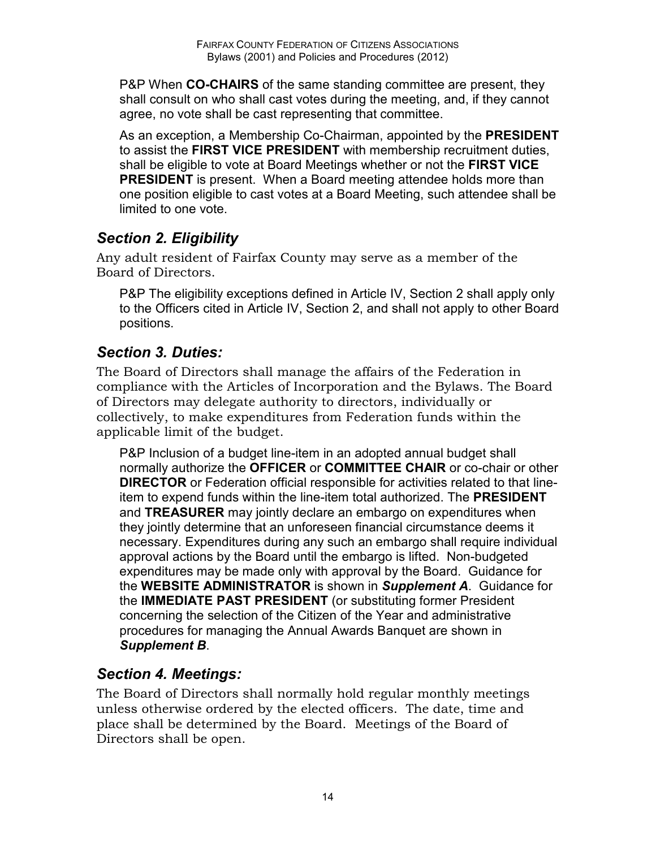P&P When **CO-CHAIRS** of the same standing committee are present, they shall consult on who shall cast votes during the meeting, and, if they cannot agree, no vote shall be cast representing that committee.

As an exception, a Membership Co-Chairman, appointed by the **PRESIDENT**  to assist the **FIRST VICE PRESIDENT** with membership recruitment duties, shall be eligible to vote at Board Meetings whether or not the **FIRST VICE PRESIDENT** is present. When a Board meeting attendee holds more than one position eligible to cast votes at a Board Meeting, such attendee shall be limited to one vote.

#### *Section 2. Eligibility*

Any adult resident of Fairfax County may serve as a member of the Board of Directors.

P&P The eligibility exceptions defined in Article IV, Section 2 shall apply only to the Officers cited in Article IV, Section 2, and shall not apply to other Board positions.

#### *Section 3. Duties:*

The Board of Directors shall manage the affairs of the Federation in compliance with the Articles of Incorporation and the Bylaws. The Board of Directors may delegate authority to directors, individually or collectively, to make expenditures from Federation funds within the applicable limit of the budget.

P&P Inclusion of a budget line-item in an adopted annual budget shall normally authorize the **OFFICER** or **COMMITTEE CHAIR** or co-chair or other **DIRECTOR** or Federation official responsible for activities related to that lineitem to expend funds within the line-item total authorized. The **PRESIDENT**  and **TREASURER** may jointly declare an embargo on expenditures when they jointly determine that an unforeseen financial circumstance deems it necessary. Expenditures during any such an embargo shall require individual approval actions by the Board until the embargo is lifted. Non-budgeted expenditures may be made only with approval by the Board. Guidance for the **WEBSITE ADMINISTRATOR** is shown in *Supplement A*. Guidance for the **IMMEDIATE PAST PRESIDENT** (or substituting former President concerning the selection of the Citizen of the Year and administrative procedures for managing the Annual Awards Banquet are shown in *Supplement B*.

#### *Section 4. Meetings:*

The Board of Directors shall normally hold regular monthly meetings unless otherwise ordered by the elected officers. The date, time and place shall be determined by the Board. Meetings of the Board of Directors shall be open.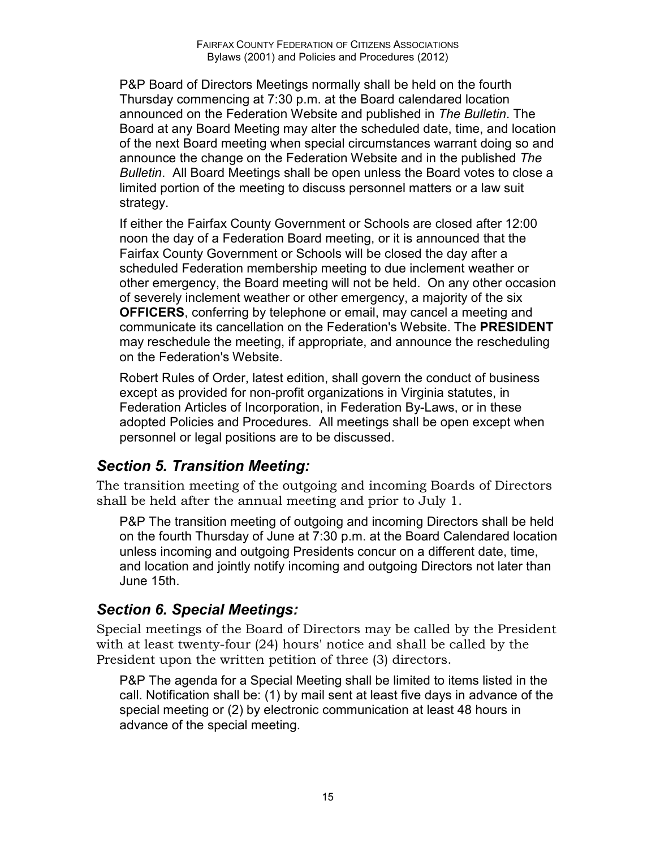P&P Board of Directors Meetings normally shall be held on the fourth Thursday commencing at 7:30 p.m. at the Board calendared location announced on the Federation Website and published in *The Bulletin*. The Board at any Board Meeting may alter the scheduled date, time, and location of the next Board meeting when special circumstances warrant doing so and announce the change on the Federation Website and in the published *The Bulletin*. All Board Meetings shall be open unless the Board votes to close a limited portion of the meeting to discuss personnel matters or a law suit strategy.

If either the Fairfax County Government or Schools are closed after 12:00 noon the day of a Federation Board meeting, or it is announced that the Fairfax County Government or Schools will be closed the day after a scheduled Federation membership meeting to due inclement weather or other emergency, the Board meeting will not be held. On any other occasion of severely inclement weather or other emergency, a majority of the six **OFFICERS**, conferring by telephone or email, may cancel a meeting and communicate its cancellation on the Federation's Website. The **PRESIDENT**  may reschedule the meeting, if appropriate, and announce the rescheduling on the Federation's Website.

Robert Rules of Order, latest edition, shall govern the conduct of business except as provided for non-profit organizations in Virginia statutes, in Federation Articles of Incorporation, in Federation By-Laws, or in these adopted Policies and Procedures. All meetings shall be open except when personnel or legal positions are to be discussed.

### *Section 5. Transition Meeting:*

The transition meeting of the outgoing and incoming Boards of Directors shall be held after the annual meeting and prior to July 1.

P&P The transition meeting of outgoing and incoming Directors shall be held on the fourth Thursday of June at 7:30 p.m. at the Board Calendared location unless incoming and outgoing Presidents concur on a different date, time, and location and jointly notify incoming and outgoing Directors not later than June 15th.

#### *Section 6. Special Meetings:*

Special meetings of the Board of Directors may be called by the President with at least twenty-four (24) hours' notice and shall be called by the President upon the written petition of three (3) directors.

P&P The agenda for a Special Meeting shall be limited to items listed in the call. Notification shall be: (1) by mail sent at least five days in advance of the special meeting or (2) by electronic communication at least 48 hours in advance of the special meeting.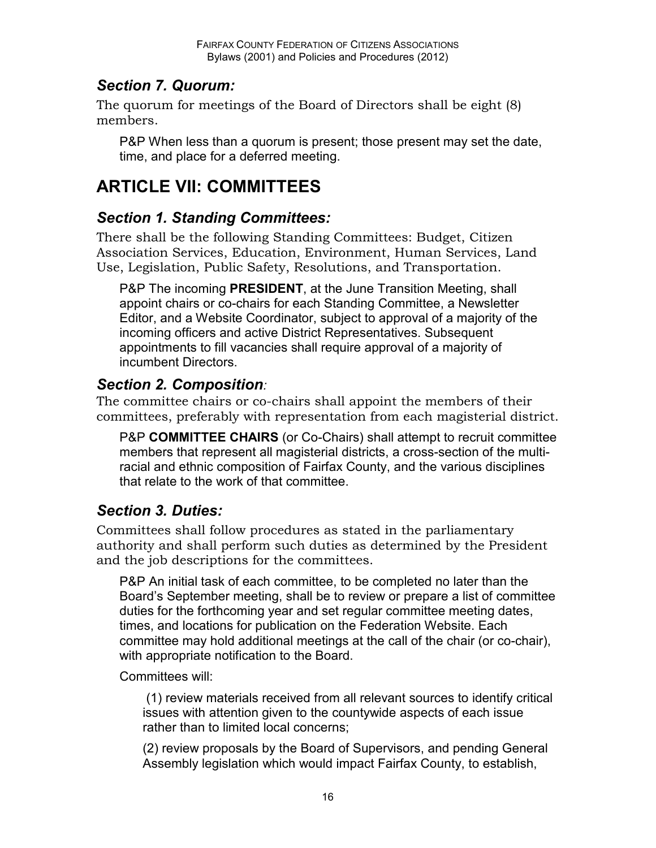#### *Section 7. Quorum:*

The quorum for meetings of the Board of Directors shall be eight (8) members.

P&P When less than a quorum is present; those present may set the date, time, and place for a deferred meeting.

# **ARTICLE VII: COMMITTEES**

### *Section 1. Standing Committees:*

There shall be the following Standing Committees: Budget, Citizen Association Services, Education, Environment, Human Services, Land Use, Legislation, Public Safety, Resolutions, and Transportation.

P&P The incoming **PRESIDENT**, at the June Transition Meeting, shall appoint chairs or co-chairs for each Standing Committee, a Newsletter Editor, and a Website Coordinator, subject to approval of a majority of the incoming officers and active District Representatives. Subsequent appointments to fill vacancies shall require approval of a majority of incumbent Directors.

### *Section 2. Composition:*

The committee chairs or co-chairs shall appoint the members of their committees, preferably with representation from each magisterial district.

P&P **COMMITTEE CHAIRS** (or Co-Chairs) shall attempt to recruit committee members that represent all magisterial districts, a cross-section of the multiracial and ethnic composition of Fairfax County, and the various disciplines that relate to the work of that committee.

### *Section 3. Duties:*

Committees shall follow procedures as stated in the parliamentary authority and shall perform such duties as determined by the President and the job descriptions for the committees.

P&P An initial task of each committee, to be completed no later than the Board's September meeting, shall be to review or prepare a list of committee duties for the forthcoming year and set regular committee meeting dates, times, and locations for publication on the Federation Website. Each committee may hold additional meetings at the call of the chair (or co-chair), with appropriate notification to the Board.

Committees will:

 (1) review materials received from all relevant sources to identify critical issues with attention given to the countywide aspects of each issue rather than to limited local concerns;

(2) review proposals by the Board of Supervisors, and pending General Assembly legislation which would impact Fairfax County, to establish,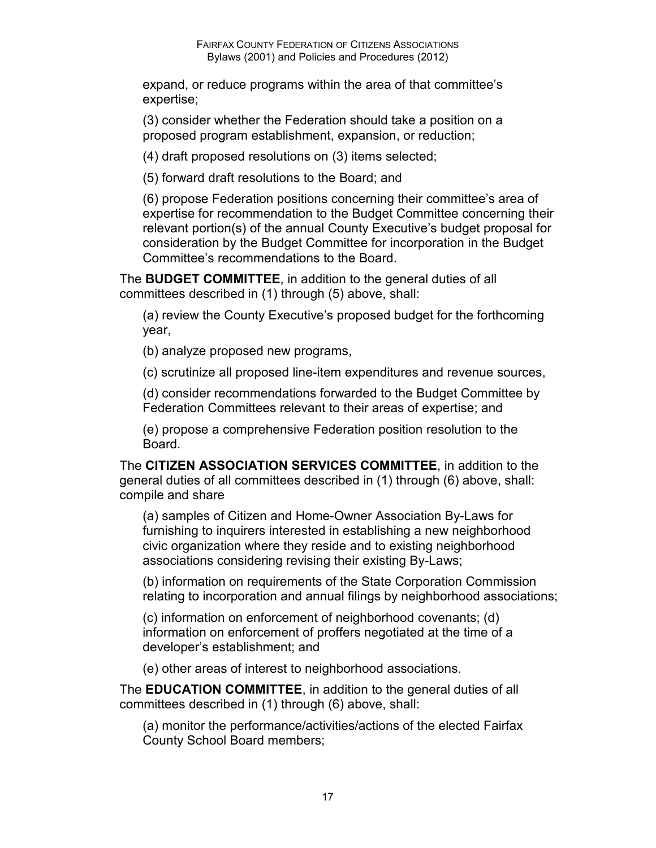expand, or reduce programs within the area of that committee's expertise;

(3) consider whether the Federation should take a position on a proposed program establishment, expansion, or reduction;

(4) draft proposed resolutions on (3) items selected;

(5) forward draft resolutions to the Board; and

(6) propose Federation positions concerning their committee's area of expertise for recommendation to the Budget Committee concerning their relevant portion(s) of the annual County Executive's budget proposal for consideration by the Budget Committee for incorporation in the Budget Committee's recommendations to the Board.

The **BUDGET COMMITTEE**, in addition to the general duties of all committees described in (1) through (5) above, shall:

(a) review the County Executive's proposed budget for the forthcoming year,

(b) analyze proposed new programs,

(c) scrutinize all proposed line-item expenditures and revenue sources,

(d) consider recommendations forwarded to the Budget Committee by Federation Committees relevant to their areas of expertise; and

(e) propose a comprehensive Federation position resolution to the Board.

The **CITIZEN ASSOCIATION SERVICES COMMITTEE**, in addition to the general duties of all committees described in (1) through (6) above, shall: compile and share

(a) samples of Citizen and Home-Owner Association By-Laws for furnishing to inquirers interested in establishing a new neighborhood civic organization where they reside and to existing neighborhood associations considering revising their existing By-Laws;

(b) information on requirements of the State Corporation Commission relating to incorporation and annual filings by neighborhood associations;

(c) information on enforcement of neighborhood covenants; (d) information on enforcement of proffers negotiated at the time of a developer's establishment; and

(e) other areas of interest to neighborhood associations.

The **EDUCATION COMMITTEE**, in addition to the general duties of all committees described in (1) through (6) above, shall:

(a) monitor the performance/activities/actions of the elected Fairfax County School Board members;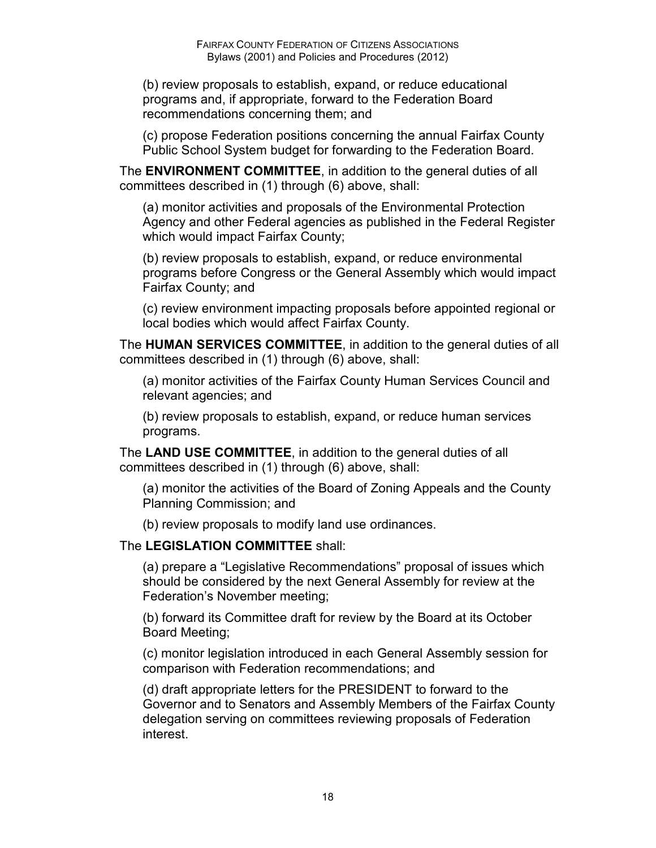(b) review proposals to establish, expand, or reduce educational programs and, if appropriate, forward to the Federation Board recommendations concerning them; and

(c) propose Federation positions concerning the annual Fairfax County Public School System budget for forwarding to the Federation Board.

The **ENVIRONMENT COMMITTEE**, in addition to the general duties of all committees described in (1) through (6) above, shall:

(a) monitor activities and proposals of the Environmental Protection Agency and other Federal agencies as published in the Federal Register which would impact Fairfax County;

(b) review proposals to establish, expand, or reduce environmental programs before Congress or the General Assembly which would impact Fairfax County; and

(c) review environment impacting proposals before appointed regional or local bodies which would affect Fairfax County.

The **HUMAN SERVICES COMMITTEE**, in addition to the general duties of all committees described in (1) through (6) above, shall:

(a) monitor activities of the Fairfax County Human Services Council and relevant agencies; and

(b) review proposals to establish, expand, or reduce human services programs.

The **LAND USE COMMITTEE**, in addition to the general duties of all committees described in (1) through (6) above, shall:

(a) monitor the activities of the Board of Zoning Appeals and the County Planning Commission; and

(b) review proposals to modify land use ordinances.

#### The **LEGISLATION COMMITTEE** shall:

(a) prepare a "Legislative Recommendations" proposal of issues which should be considered by the next General Assembly for review at the Federation's November meeting;

(b) forward its Committee draft for review by the Board at its October Board Meeting;

(c) monitor legislation introduced in each General Assembly session for comparison with Federation recommendations; and

(d) draft appropriate letters for the PRESIDENT to forward to the Governor and to Senators and Assembly Members of the Fairfax County delegation serving on committees reviewing proposals of Federation interest.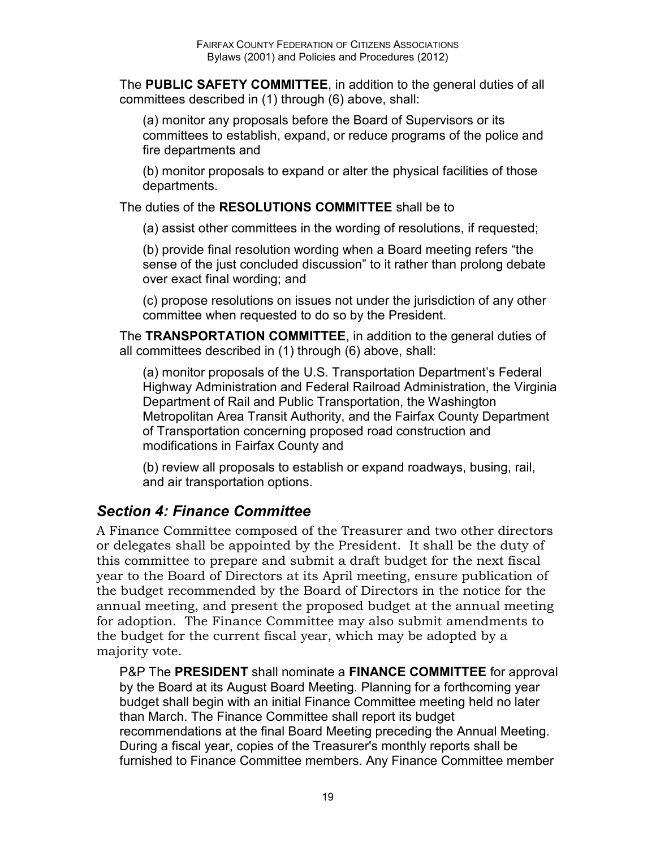The **PUBLIC SAFETY COMMITTEE**, in addition to the general duties of all committees described in (1) through (6) above, shall:

(a) monitor any proposals before the Board of Supervisors or its committees to establish, expand, or reduce programs of the police and fire departments and

(b) monitor proposals to expand or alter the physical facilities of those departments.

The duties of the **RESOLUTIONS COMMITTEE** shall be to

(a) assist other committees in the wording of resolutions, if requested;

(b) provide final resolution wording when a Board meeting refers "the sense of the just concluded discussion" to it rather than prolong debate over exact final wording; and

(c) propose resolutions on issues not under the jurisdiction of any other committee when requested to do so by the President.

The **TRANSPORTATION COMMITTEE**, in addition to the general duties of all committees described in (1) through (6) above, shall:

(a) monitor proposals of the U.S. Transportation Department's Federal Highway Administration and Federal Railroad Administration, the Virginia Department of Rail and Public Transportation, the Washington Metropolitan Area Transit Authority, and the Fairfax County Department of Transportation concerning proposed road construction and modifications in Fairfax County and

(b) review all proposals to establish or expand roadways, busing, rail, and air transportation options.

### *Section 4: Finance Committee*

A Finance Committee composed of the Treasurer and two other directors or delegates shall be appointed by the President. It shall be the duty of this committee to prepare and submit a draft budget for the next fiscal year to the Board of Directors at its April meeting, ensure publication of the budget recommended by the Board of Directors in the notice for the annual meeting, and present the proposed budget at the annual meeting for adoption. The Finance Committee may also submit amendments to the budget for the current fiscal year, which may be adopted by a majority vote.

P&P The **PRESIDENT** shall nominate a **FINANCE COMMITTEE** for approval by the Board at its August Board Meeting. Planning for a forthcoming year budget shall begin with an initial Finance Committee meeting held no later than March. The Finance Committee shall report its budget recommendations at the final Board Meeting preceding the Annual Meeting. During a fiscal year, copies of the Treasurer's monthly reports shall be furnished to Finance Committee members. Any Finance Committee member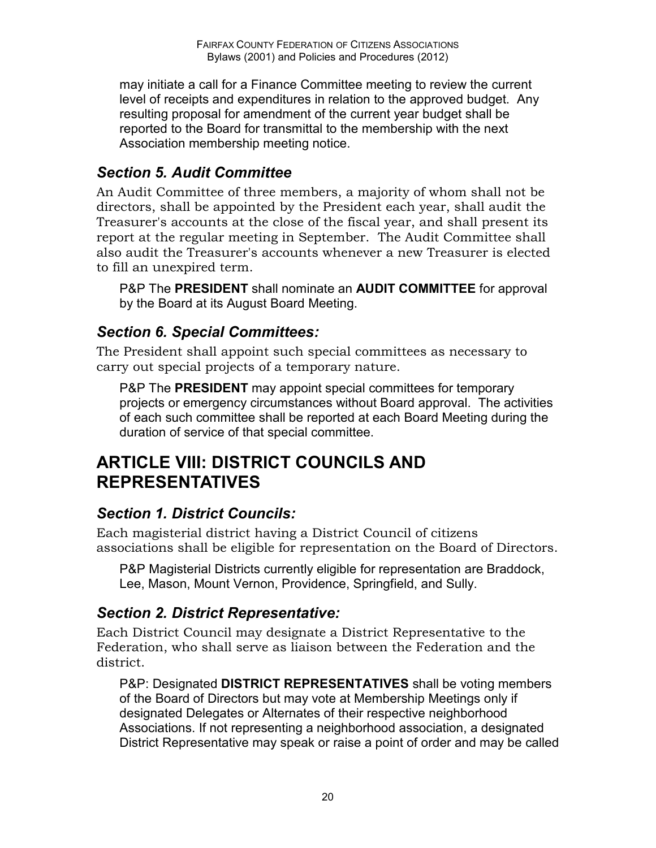may initiate a call for a Finance Committee meeting to review the current level of receipts and expenditures in relation to the approved budget. Any resulting proposal for amendment of the current year budget shall be reported to the Board for transmittal to the membership with the next Association membership meeting notice.

### *Section 5. Audit Committee*

An Audit Committee of three members, a majority of whom shall not be directors, shall be appointed by the President each year, shall audit the Treasurer's accounts at the close of the fiscal year, and shall present its report at the regular meeting in September. The Audit Committee shall also audit the Treasurer's accounts whenever a new Treasurer is elected to fill an unexpired term.

P&P The **PRESIDENT** shall nominate an **AUDIT COMMITTEE** for approval by the Board at its August Board Meeting.

### *Section 6. Special Committees:*

The President shall appoint such special committees as necessary to carry out special projects of a temporary nature.

P&P The **PRESIDENT** may appoint special committees for temporary projects or emergency circumstances without Board approval. The activities of each such committee shall be reported at each Board Meeting during the duration of service of that special committee.

# **ARTICLE VIII: DISTRICT COUNCILS AND REPRESENTATIVES**

### *Section 1. District Councils:*

Each magisterial district having a District Council of citizens associations shall be eligible for representation on the Board of Directors.

P&P Magisterial Districts currently eligible for representation are Braddock, Lee, Mason, Mount Vernon, Providence, Springfield, and Sully.

### *Section 2. District Representative:*

Each District Council may designate a District Representative to the Federation, who shall serve as liaison between the Federation and the district.

P&P: Designated **DISTRICT REPRESENTATIVES** shall be voting members of the Board of Directors but may vote at Membership Meetings only if designated Delegates or Alternates of their respective neighborhood Associations. If not representing a neighborhood association, a designated District Representative may speak or raise a point of order and may be called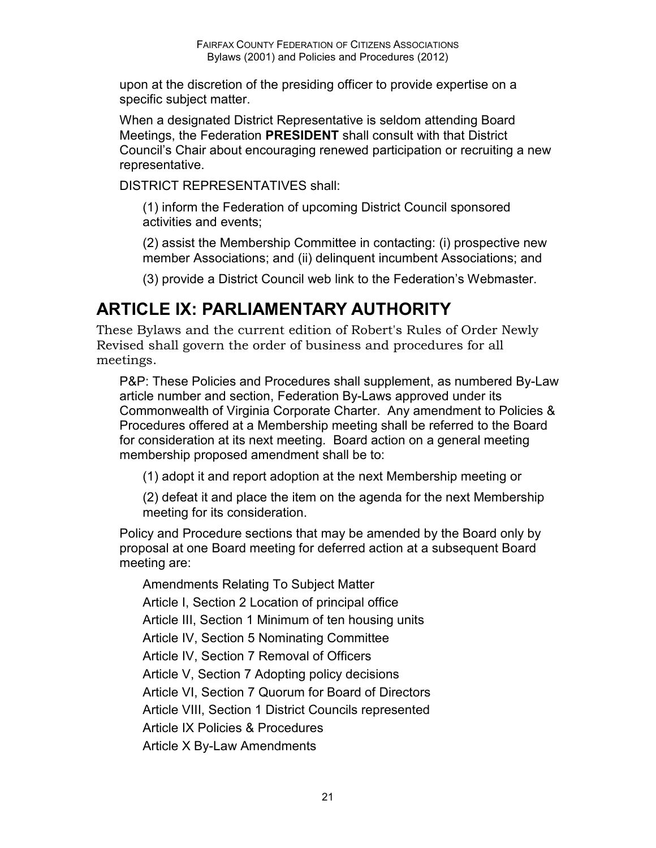upon at the discretion of the presiding officer to provide expertise on a specific subject matter.

When a designated District Representative is seldom attending Board Meetings, the Federation **PRESIDENT** shall consult with that District Council's Chair about encouraging renewed participation or recruiting a new representative.

DISTRICT REPRESENTATIVES shall:

(1) inform the Federation of upcoming District Council sponsored activities and events;

(2) assist the Membership Committee in contacting: (i) prospective new member Associations; and (ii) delinquent incumbent Associations; and

(3) provide a District Council web link to the Federation's Webmaster.

# **ARTICLE IX: PARLIAMENTARY AUTHORITY**

These Bylaws and the current edition of Robert's Rules of Order Newly Revised shall govern the order of business and procedures for all meetings.

P&P: These Policies and Procedures shall supplement, as numbered By-Law article number and section, Federation By-Laws approved under its Commonwealth of Virginia Corporate Charter. Any amendment to Policies & Procedures offered at a Membership meeting shall be referred to the Board for consideration at its next meeting. Board action on a general meeting membership proposed amendment shall be to:

(1) adopt it and report adoption at the next Membership meeting or

(2) defeat it and place the item on the agenda for the next Membership meeting for its consideration.

Policy and Procedure sections that may be amended by the Board only by proposal at one Board meeting for deferred action at a subsequent Board meeting are:

Amendments Relating To Subject Matter Article I, Section 2 Location of principal office Article III, Section 1 Minimum of ten housing units Article IV, Section 5 Nominating Committee Article IV, Section 7 Removal of Officers Article V, Section 7 Adopting policy decisions Article VI, Section 7 Quorum for Board of Directors Article VIII, Section 1 District Councils represented Article IX Policies & Procedures Article X By-Law Amendments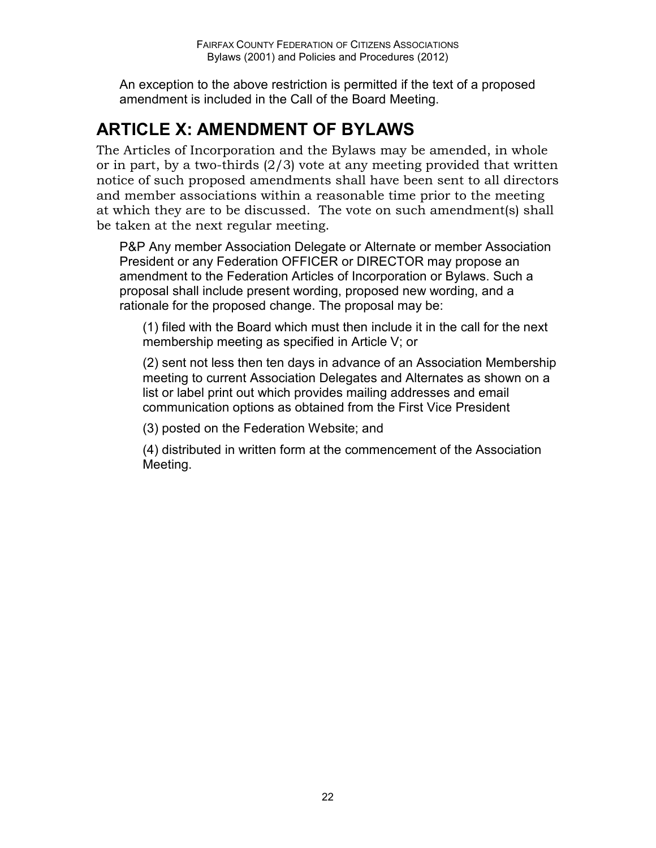An exception to the above restriction is permitted if the text of a proposed amendment is included in the Call of the Board Meeting.

# **ARTICLE X: AMENDMENT OF BYLAWS**

The Articles of Incorporation and the Bylaws may be amended, in whole or in part, by a two-thirds (2/3) vote at any meeting provided that written notice of such proposed amendments shall have been sent to all directors and member associations within a reasonable time prior to the meeting at which they are to be discussed. The vote on such amendment(s) shall be taken at the next regular meeting.

P&P Any member Association Delegate or Alternate or member Association President or any Federation OFFICER or DIRECTOR may propose an amendment to the Federation Articles of Incorporation or Bylaws. Such a proposal shall include present wording, proposed new wording, and a rationale for the proposed change. The proposal may be:

(1) filed with the Board which must then include it in the call for the next membership meeting as specified in Article V; or

(2) sent not less then ten days in advance of an Association Membership meeting to current Association Delegates and Alternates as shown on a list or label print out which provides mailing addresses and email communication options as obtained from the First Vice President

(3) posted on the Federation Website; and

(4) distributed in written form at the commencement of the Association Meeting.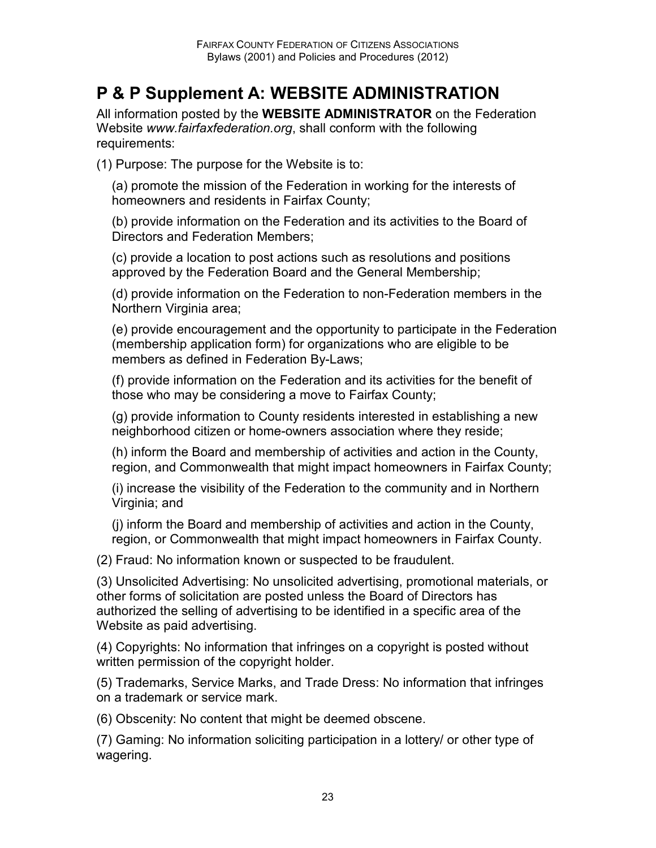# **P & P Supplement A: WEBSITE ADMINISTRATION**

All information posted by the **WEBSITE ADMINISTRATOR** on the Federation Website *www.fairfaxfederation.org*, shall conform with the following requirements:

(1) Purpose: The purpose for the Website is to:

(a) promote the mission of the Federation in working for the interests of homeowners and residents in Fairfax County;

(b) provide information on the Federation and its activities to the Board of Directors and Federation Members;

(c) provide a location to post actions such as resolutions and positions approved by the Federation Board and the General Membership;

(d) provide information on the Federation to non-Federation members in the Northern Virginia area;

(e) provide encouragement and the opportunity to participate in the Federation (membership application form) for organizations who are eligible to be members as defined in Federation By-Laws;

(f) provide information on the Federation and its activities for the benefit of those who may be considering a move to Fairfax County;

(g) provide information to County residents interested in establishing a new neighborhood citizen or home-owners association where they reside;

(h) inform the Board and membership of activities and action in the County, region, and Commonwealth that might impact homeowners in Fairfax County;

(i) increase the visibility of the Federation to the community and in Northern Virginia; and

(j) inform the Board and membership of activities and action in the County, region, or Commonwealth that might impact homeowners in Fairfax County.

(2) Fraud: No information known or suspected to be fraudulent.

(3) Unsolicited Advertising: No unsolicited advertising, promotional materials, or other forms of solicitation are posted unless the Board of Directors has authorized the selling of advertising to be identified in a specific area of the Website as paid advertising.

(4) Copyrights: No information that infringes on a copyright is posted without written permission of the copyright holder.

(5) Trademarks, Service Marks, and Trade Dress: No information that infringes on a trademark or service mark.

(6) Obscenity: No content that might be deemed obscene.

(7) Gaming: No information soliciting participation in a lottery/ or other type of wagering.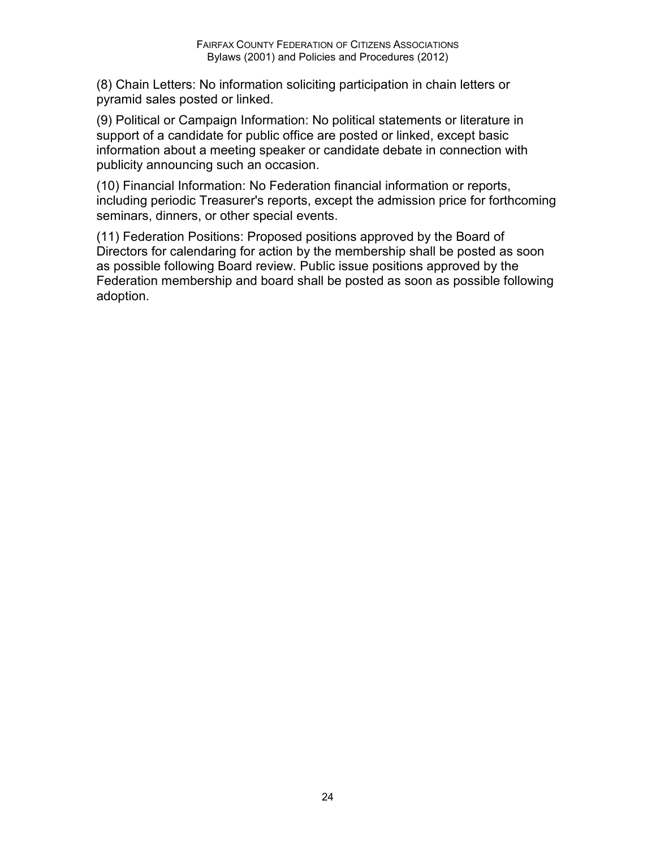(8) Chain Letters: No information soliciting participation in chain letters or pyramid sales posted or linked.

(9) Political or Campaign Information: No political statements or literature in support of a candidate for public office are posted or linked, except basic information about a meeting speaker or candidate debate in connection with publicity announcing such an occasion.

(10) Financial Information: No Federation financial information or reports, including periodic Treasurer's reports, except the admission price for forthcoming seminars, dinners, or other special events.

(11) Federation Positions: Proposed positions approved by the Board of Directors for calendaring for action by the membership shall be posted as soon as possible following Board review. Public issue positions approved by the Federation membership and board shall be posted as soon as possible following adoption.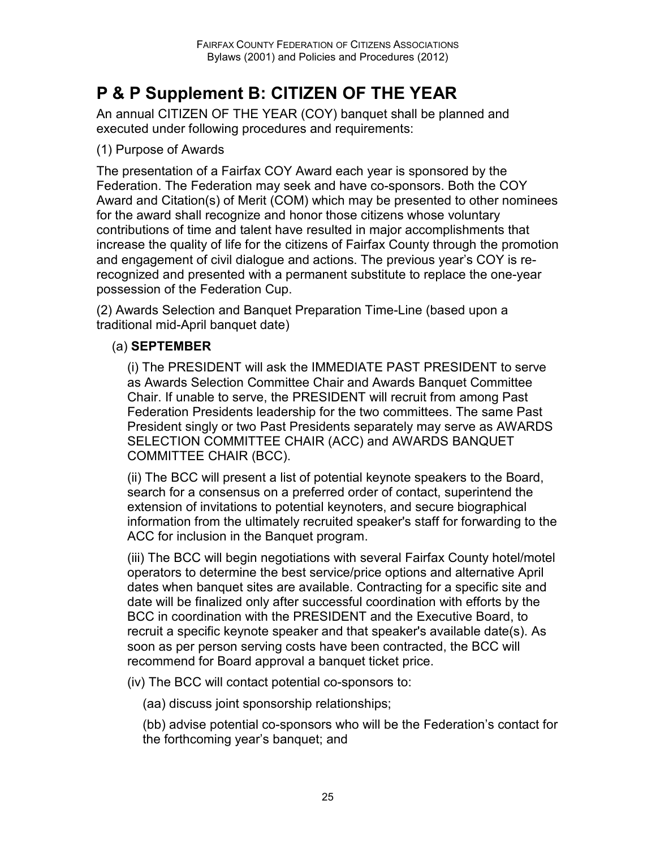# **P & P Supplement B: CITIZEN OF THE YEAR**

An annual CITIZEN OF THE YEAR (COY) banquet shall be planned and executed under following procedures and requirements:

#### (1) Purpose of Awards

The presentation of a Fairfax COY Award each year is sponsored by the Federation. The Federation may seek and have co-sponsors. Both the COY Award and Citation(s) of Merit (COM) which may be presented to other nominees for the award shall recognize and honor those citizens whose voluntary contributions of time and talent have resulted in major accomplishments that increase the quality of life for the citizens of Fairfax County through the promotion and engagement of civil dialogue and actions. The previous year's COY is rerecognized and presented with a permanent substitute to replace the one-year possession of the Federation Cup.

(2) Awards Selection and Banquet Preparation Time-Line (based upon a traditional mid-April banquet date)

#### (a) **SEPTEMBER**

(i) The PRESIDENT will ask the IMMEDIATE PAST PRESIDENT to serve as Awards Selection Committee Chair and Awards Banquet Committee Chair. If unable to serve, the PRESIDENT will recruit from among Past Federation Presidents leadership for the two committees. The same Past President singly or two Past Presidents separately may serve as AWARDS SELECTION COMMITTEE CHAIR (ACC) and AWARDS BANQUET COMMITTEE CHAIR (BCC).

(ii) The BCC will present a list of potential keynote speakers to the Board, search for a consensus on a preferred order of contact, superintend the extension of invitations to potential keynoters, and secure biographical information from the ultimately recruited speaker's staff for forwarding to the ACC for inclusion in the Banquet program.

(iii) The BCC will begin negotiations with several Fairfax County hotel/motel operators to determine the best service/price options and alternative April dates when banquet sites are available. Contracting for a specific site and date will be finalized only after successful coordination with efforts by the BCC in coordination with the PRESIDENT and the Executive Board, to recruit a specific keynote speaker and that speaker's available date(s). As soon as per person serving costs have been contracted, the BCC will recommend for Board approval a banquet ticket price.

(iv) The BCC will contact potential co-sponsors to:

(aa) discuss joint sponsorship relationships;

(bb) advise potential co-sponsors who will be the Federation's contact for the forthcoming year's banquet; and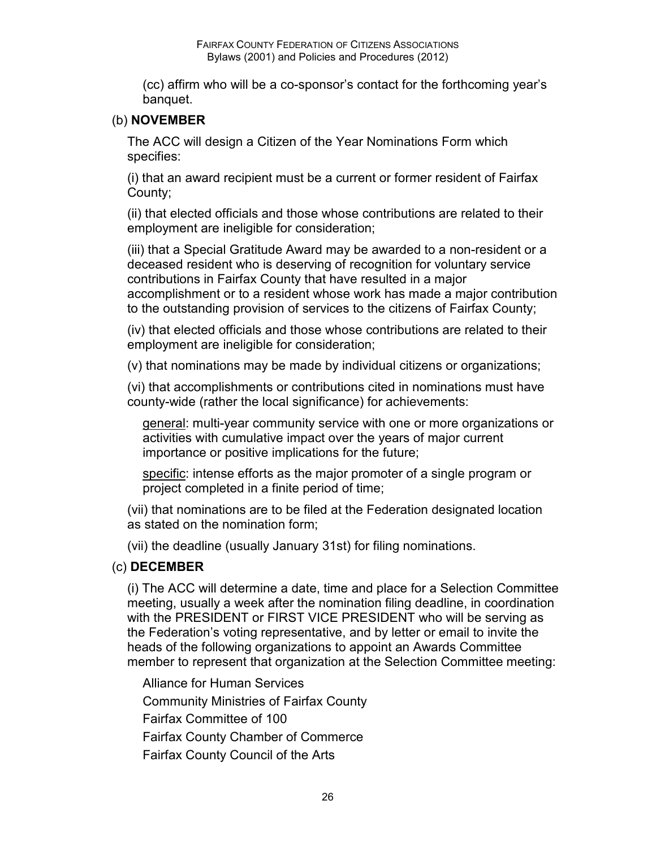(cc) affirm who will be a co-sponsor's contact for the forthcoming year's banquet.

#### (b) **NOVEMBER**

The ACC will design a Citizen of the Year Nominations Form which specifies:

(i) that an award recipient must be a current or former resident of Fairfax County;

(ii) that elected officials and those whose contributions are related to their employment are ineligible for consideration;

(iii) that a Special Gratitude Award may be awarded to a non-resident or a deceased resident who is deserving of recognition for voluntary service contributions in Fairfax County that have resulted in a major accomplishment or to a resident whose work has made a major contribution to the outstanding provision of services to the citizens of Fairfax County;

(iv) that elected officials and those whose contributions are related to their employment are ineligible for consideration;

(v) that nominations may be made by individual citizens or organizations;

(vi) that accomplishments or contributions cited in nominations must have county-wide (rather the local significance) for achievements:

general: multi-year community service with one or more organizations or activities with cumulative impact over the years of major current importance or positive implications for the future;

specific: intense efforts as the major promoter of a single program or project completed in a finite period of time;

(vii) that nominations are to be filed at the Federation designated location as stated on the nomination form;

(vii) the deadline (usually January 31st) for filing nominations.

#### (c) **DECEMBER**

(i) The ACC will determine a date, time and place for a Selection Committee meeting, usually a week after the nomination filing deadline, in coordination with the PRESIDENT or FIRST VICE PRESIDENT who will be serving as the Federation's voting representative, and by letter or email to invite the heads of the following organizations to appoint an Awards Committee member to represent that organization at the Selection Committee meeting:

Alliance for Human Services

Community Ministries of Fairfax County

Fairfax Committee of 100

Fairfax County Chamber of Commerce

Fairfax County Council of the Arts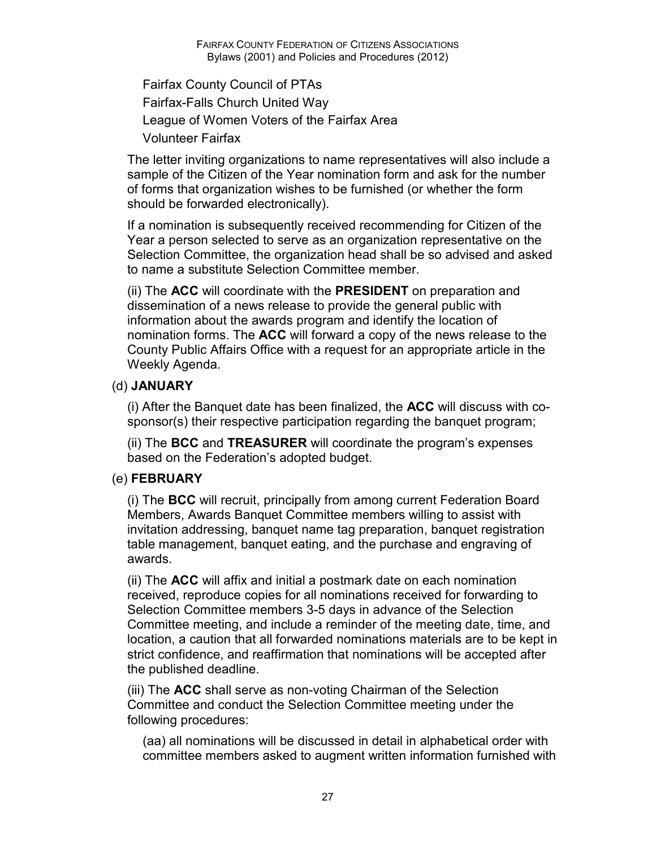Fairfax County Council of PTAs Fairfax-Falls Church United Way League of Women Voters of the Fairfax Area Volunteer Fairfax

The letter inviting organizations to name representatives will also include a sample of the Citizen of the Year nomination form and ask for the number of forms that organization wishes to be furnished (or whether the form should be forwarded electronically).

If a nomination is subsequently received recommending for Citizen of the Year a person selected to serve as an organization representative on the Selection Committee, the organization head shall be so advised and asked to name a substitute Selection Committee member.

(ii) The **ACC** will coordinate with the **PRESIDENT** on preparation and dissemination of a news release to provide the general public with information about the awards program and identify the location of nomination forms. The **ACC** will forward a copy of the news release to the County Public Affairs Office with a request for an appropriate article in the Weekly Agenda.

#### (d) **JANUARY**

(i) After the Banquet date has been finalized, the **ACC** will discuss with cosponsor(s) their respective participation regarding the banquet program;

(ii) The **BCC** and **TREASURER** will coordinate the program's expenses based on the Federation's adopted budget.

#### (e) **FEBRUARY**

(i) The **BCC** will recruit, principally from among current Federation Board Members, Awards Banquet Committee members willing to assist with invitation addressing, banquet name tag preparation, banquet registration table management, banquet eating, and the purchase and engraving of awards.

(ii) The **ACC** will affix and initial a postmark date on each nomination received, reproduce copies for all nominations received for forwarding to Selection Committee members 3-5 days in advance of the Selection Committee meeting, and include a reminder of the meeting date, time, and location, a caution that all forwarded nominations materials are to be kept in strict confidence, and reaffirmation that nominations will be accepted after the published deadline.

(iii) The **ACC** shall serve as non-voting Chairman of the Selection Committee and conduct the Selection Committee meeting under the following procedures:

(aa) all nominations will be discussed in detail in alphabetical order with committee members asked to augment written information furnished with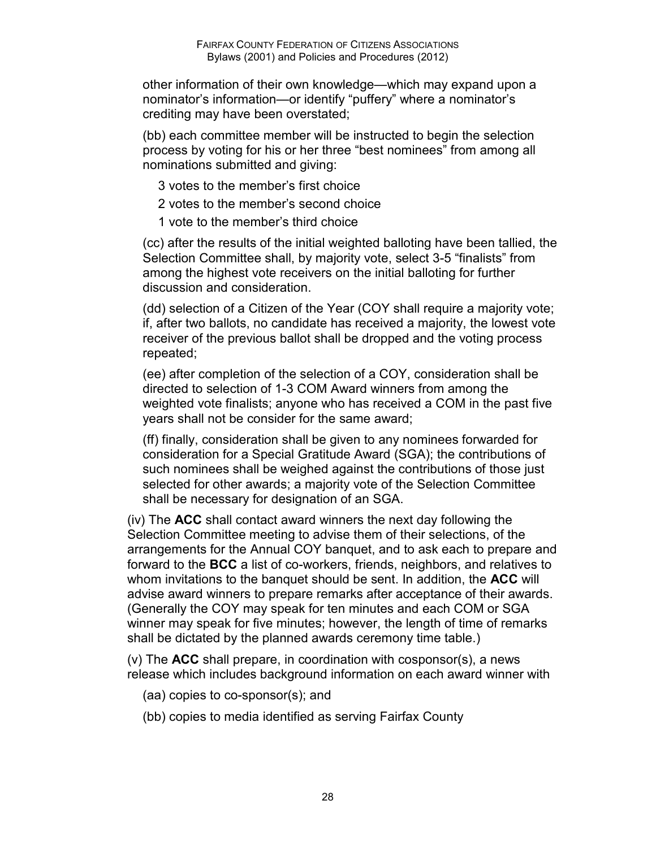other information of their own knowledge—which may expand upon a nominator's information—or identify "puffery" where a nominator's crediting may have been overstated;

(bb) each committee member will be instructed to begin the selection process by voting for his or her three "best nominees" from among all nominations submitted and giving:

- 3 votes to the member's first choice
- 2 votes to the member's second choice
- 1 vote to the member's third choice

(cc) after the results of the initial weighted balloting have been tallied, the Selection Committee shall, by majority vote, select 3-5 "finalists" from among the highest vote receivers on the initial balloting for further discussion and consideration.

(dd) selection of a Citizen of the Year (COY shall require a majority vote; if, after two ballots, no candidate has received a majority, the lowest vote receiver of the previous ballot shall be dropped and the voting process repeated;

(ee) after completion of the selection of a COY, consideration shall be directed to selection of 1-3 COM Award winners from among the weighted vote finalists; anyone who has received a COM in the past five years shall not be consider for the same award;

(ff) finally, consideration shall be given to any nominees forwarded for consideration for a Special Gratitude Award (SGA); the contributions of such nominees shall be weighed against the contributions of those just selected for other awards; a majority vote of the Selection Committee shall be necessary for designation of an SGA.

(iv) The **ACC** shall contact award winners the next day following the Selection Committee meeting to advise them of their selections, of the arrangements for the Annual COY banquet, and to ask each to prepare and forward to the **BCC** a list of co-workers, friends, neighbors, and relatives to whom invitations to the banquet should be sent. In addition, the **ACC** will advise award winners to prepare remarks after acceptance of their awards. (Generally the COY may speak for ten minutes and each COM or SGA winner may speak for five minutes; however, the length of time of remarks shall be dictated by the planned awards ceremony time table.)

(v) The **ACC** shall prepare, in coordination with cosponsor(s), a news release which includes background information on each award winner with

- (aa) copies to co-sponsor(s); and
- (bb) copies to media identified as serving Fairfax County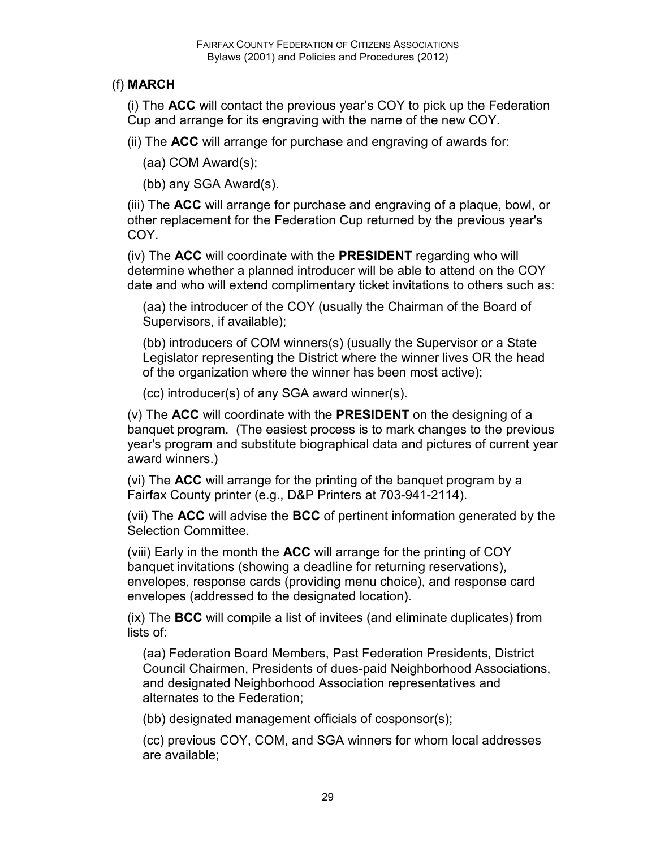#### (f) **MARCH**

(i) The **ACC** will contact the previous year's COY to pick up the Federation Cup and arrange for its engraving with the name of the new COY.

(ii) The **ACC** will arrange for purchase and engraving of awards for:

(aa) COM Award(s);

(bb) any SGA Award(s).

(iii) The **ACC** will arrange for purchase and engraving of a plaque, bowl, or other replacement for the Federation Cup returned by the previous year's COY.

(iv) The **ACC** will coordinate with the **PRESIDENT** regarding who will determine whether a planned introducer will be able to attend on the COY date and who will extend complimentary ticket invitations to others such as:

(aa) the introducer of the COY (usually the Chairman of the Board of Supervisors, if available);

(bb) introducers of COM winners(s) (usually the Supervisor or a State Legislator representing the District where the winner lives OR the head of the organization where the winner has been most active);

(cc) introducer(s) of any SGA award winner(s).

(v) The **ACC** will coordinate with the **PRESIDENT** on the designing of a banquet program. (The easiest process is to mark changes to the previous year's program and substitute biographical data and pictures of current year award winners.)

(vi) The **ACC** will arrange for the printing of the banquet program by a Fairfax County printer (e.g., D&P Printers at 703-941-2114).

(vii) The **ACC** will advise the **BCC** of pertinent information generated by the Selection Committee.

(viii) Early in the month the **ACC** will arrange for the printing of COY banquet invitations (showing a deadline for returning reservations), envelopes, response cards (providing menu choice), and response card envelopes (addressed to the designated location).

(ix) The **BCC** will compile a list of invitees (and eliminate duplicates) from lists of:

(aa) Federation Board Members, Past Federation Presidents, District Council Chairmen, Presidents of dues-paid Neighborhood Associations, and designated Neighborhood Association representatives and alternates to the Federation;

(bb) designated management officials of cosponsor(s);

(cc) previous COY, COM, and SGA winners for whom local addresses are available;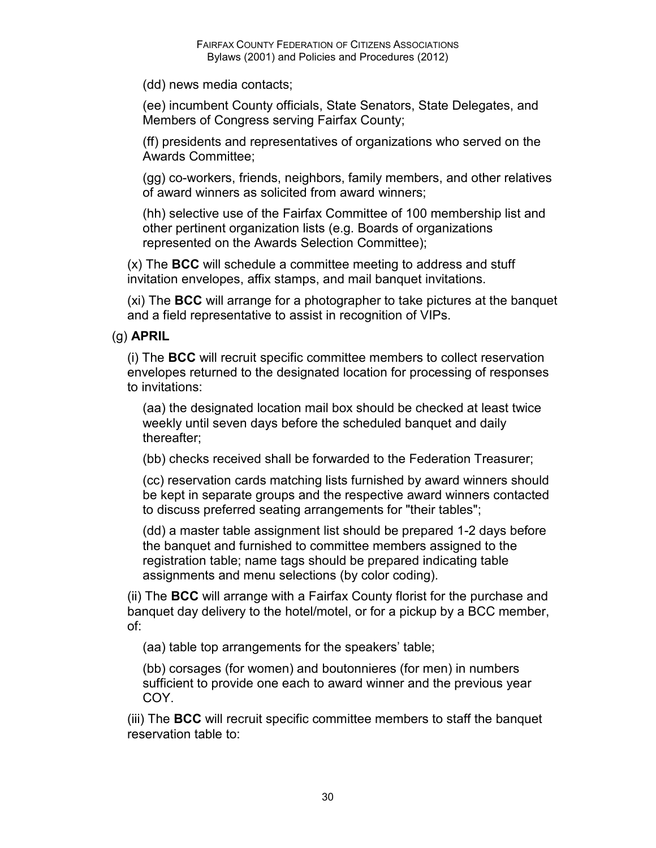(dd) news media contacts;

(ee) incumbent County officials, State Senators, State Delegates, and Members of Congress serving Fairfax County;

(ff) presidents and representatives of organizations who served on the Awards Committee;

(gg) co-workers, friends, neighbors, family members, and other relatives of award winners as solicited from award winners;

(hh) selective use of the Fairfax Committee of 100 membership list and other pertinent organization lists (e.g. Boards of organizations represented on the Awards Selection Committee);

(x) The **BCC** will schedule a committee meeting to address and stuff invitation envelopes, affix stamps, and mail banquet invitations.

(xi) The **BCC** will arrange for a photographer to take pictures at the banquet and a field representative to assist in recognition of VIPs.

#### (g) **APRIL**

(i) The **BCC** will recruit specific committee members to collect reservation envelopes returned to the designated location for processing of responses to invitations:

(aa) the designated location mail box should be checked at least twice weekly until seven days before the scheduled banquet and daily thereafter;

(bb) checks received shall be forwarded to the Federation Treasurer;

(cc) reservation cards matching lists furnished by award winners should be kept in separate groups and the respective award winners contacted to discuss preferred seating arrangements for "their tables";

(dd) a master table assignment list should be prepared 1-2 days before the banquet and furnished to committee members assigned to the registration table; name tags should be prepared indicating table assignments and menu selections (by color coding).

(ii) The **BCC** will arrange with a Fairfax County florist for the purchase and banquet day delivery to the hotel/motel, or for a pickup by a BCC member, of:

(aa) table top arrangements for the speakers' table;

(bb) corsages (for women) and boutonnieres (for men) in numbers sufficient to provide one each to award winner and the previous year COY.

(iii) The **BCC** will recruit specific committee members to staff the banquet reservation table to: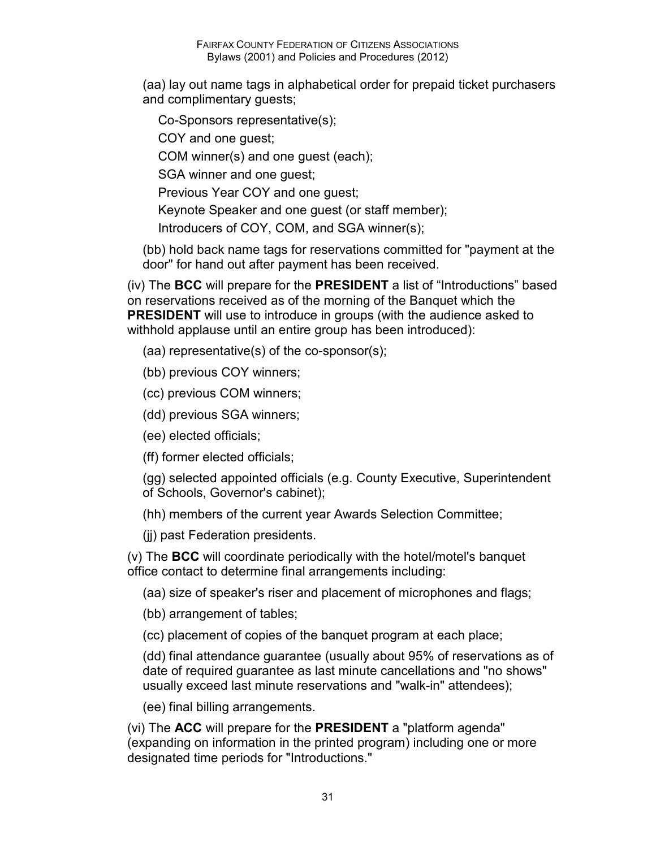(aa) lay out name tags in alphabetical order for prepaid ticket purchasers and complimentary guests;

Co-Sponsors representative(s);

COY and one guest;

COM winner(s) and one guest (each);

SGA winner and one guest;

Previous Year COY and one guest;

Keynote Speaker and one guest (or staff member);

Introducers of COY, COM, and SGA winner(s);

(bb) hold back name tags for reservations committed for "payment at the door" for hand out after payment has been received.

(iv) The **BCC** will prepare for the **PRESIDENT** a list of "Introductions" based on reservations received as of the morning of the Banquet which the **PRESIDENT** will use to introduce in groups (with the audience asked to withhold applause until an entire group has been introduced):

- (aa) representative(s) of the co-sponsor(s);
- (bb) previous COY winners;
- (cc) previous COM winners;

(dd) previous SGA winners;

(ee) elected officials;

(ff) former elected officials;

(gg) selected appointed officials (e.g. County Executive, Superintendent of Schools, Governor's cabinet);

(hh) members of the current year Awards Selection Committee;

(jj) past Federation presidents.

(v) The **BCC** will coordinate periodically with the hotel/motel's banquet office contact to determine final arrangements including:

(aa) size of speaker's riser and placement of microphones and flags;

(bb) arrangement of tables;

(cc) placement of copies of the banquet program at each place;

(dd) final attendance guarantee (usually about 95% of reservations as of date of required guarantee as last minute cancellations and "no shows" usually exceed last minute reservations and "walk-in" attendees);

(ee) final billing arrangements.

(vi) The **ACC** will prepare for the **PRESIDENT** a "platform agenda" (expanding on information in the printed program) including one or more designated time periods for "Introductions."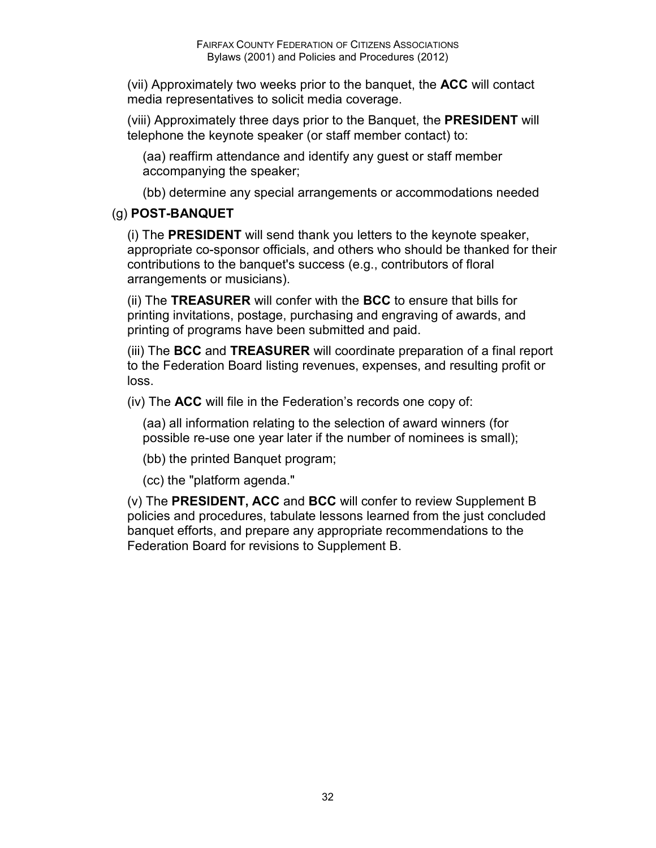(vii) Approximately two weeks prior to the banquet, the **ACC** will contact media representatives to solicit media coverage.

(viii) Approximately three days prior to the Banquet, the **PRESIDENT** will telephone the keynote speaker (or staff member contact) to:

(aa) reaffirm attendance and identify any guest or staff member accompanying the speaker;

(bb) determine any special arrangements or accommodations needed

#### (g) **POST-BANQUET**

(i) The **PRESIDENT** will send thank you letters to the keynote speaker, appropriate co-sponsor officials, and others who should be thanked for their contributions to the banquet's success (e.g., contributors of floral arrangements or musicians).

(ii) The **TREASURER** will confer with the **BCC** to ensure that bills for printing invitations, postage, purchasing and engraving of awards, and printing of programs have been submitted and paid.

(iii) The **BCC** and **TREASURER** will coordinate preparation of a final report to the Federation Board listing revenues, expenses, and resulting profit or loss.

(iv) The **ACC** will file in the Federation's records one copy of:

(aa) all information relating to the selection of award winners (for possible re-use one year later if the number of nominees is small);

(bb) the printed Banquet program;

(cc) the "platform agenda."

(v) The **PRESIDENT, ACC** and **BCC** will confer to review Supplement B policies and procedures, tabulate lessons learned from the just concluded banquet efforts, and prepare any appropriate recommendations to the Federation Board for revisions to Supplement B.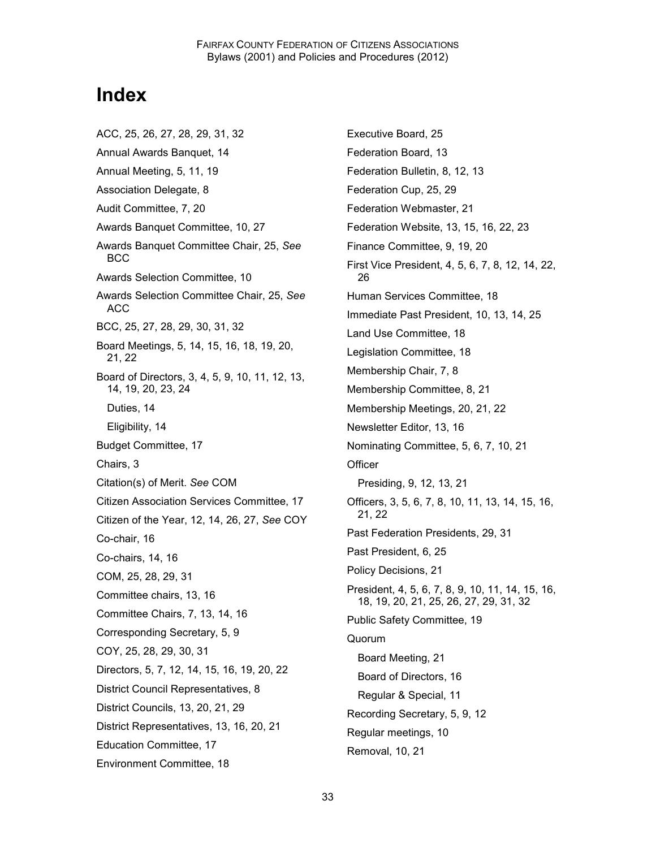# **Index**

ACC, 25, 26, 27, 28, 29, 31, 32 Annual Awards Banquet, 14 Annual Meeting, 5, 11, 19 Association Delegate, 8 Audit Committee, 7, 20 Awards Banquet Committee, 10, 27 Awards Banquet Committee Chair, 25, *See* BCC Awards Selection Committee, 10 Awards Selection Committee Chair, 25, *See* ACC BCC, 25, 27, 28, 29, 30, 31, 32 Board Meetings, 5, 14, 15, 16, 18, 19, 20, 21, 22 Board of Directors, 3, 4, 5, 9, 10, 11, 12, 13, 14, 19, 20, 23, 24 Duties, 14 Eligibility, 14 Budget Committee, 17 Chairs, 3 Citation(s) of Merit. *See* COM Citizen Association Services Committee, 17 Citizen of the Year, 12, 14, 26, 27, *See* COY Co-chair, 16 Co-chairs, 14, 16 COM, 25, 28, 29, 31 Committee chairs, 13, 16 Committee Chairs, 7, 13, 14, 16 Corresponding Secretary, 5, 9 COY, 25, 28, 29, 30, 31 Directors, 5, 7, 12, 14, 15, 16, 19, 20, 22 District Council Representatives, 8 District Councils, 13, 20, 21, 29 District Representatives, 13, 16, 20, 21 Education Committee, 17 Environment Committee, 18

Executive Board, 25 Federation Board, 13 Federation Bulletin, 8, 12, 13 Federation Cup, 25, 29 Federation Webmaster, 21 Federation Website, 13, 15, 16, 22, 23 Finance Committee, 9, 19, 20 First Vice President, 4, 5, 6, 7, 8, 12, 14, 22, 26 Human Services Committee, 18 Immediate Past President, 10, 13, 14, 25 Land Use Committee, 18 Legislation Committee, 18 Membership Chair, 7, 8 Membership Committee, 8, 21 Membership Meetings, 20, 21, 22 Newsletter Editor, 13, 16 Nominating Committee, 5, 6, 7, 10, 21 **Officer** Presiding, 9, 12, 13, 21 Officers, 3, 5, 6, 7, 8, 10, 11, 13, 14, 15, 16, 21, 22 Past Federation Presidents, 29, 31 Past President, 6, 25 Policy Decisions, 21 President, 4, 5, 6, 7, 8, 9, 10, 11, 14, 15, 16, 18, 19, 20, 21, 25, 26, 27, 29, 31, 32 Public Safety Committee, 19 Quorum Board Meeting, 21 Board of Directors, 16 Regular & Special, 11 Recording Secretary, 5, 9, 12 Regular meetings, 10 Removal, 10, 21